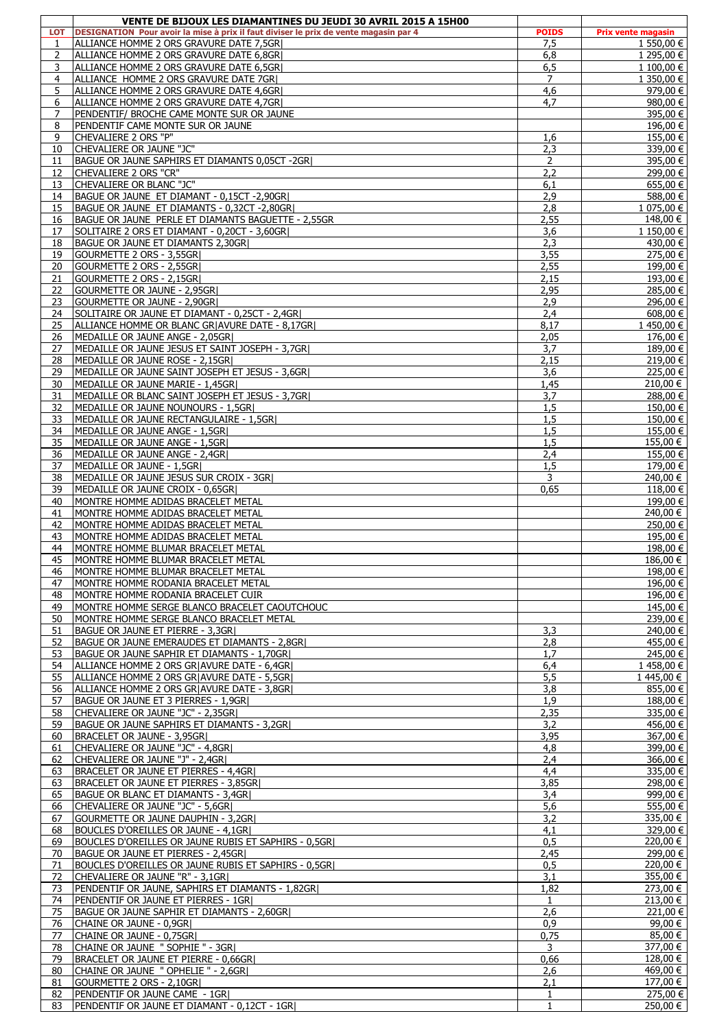|                | VENTE DE BIJOUX LES DIAMANTINES DU JEUDI 30 AVRIL 2015 A 15H00                       |                |                      |
|----------------|--------------------------------------------------------------------------------------|----------------|----------------------|
| <b>LOT</b>     | DESIGNATION Pour avoir la mise à prix il faut diviser le prix de vente magasin par 4 | <b>POIDS</b>   | Prix vente magasin   |
| 1              | ALLIANCE HOMME 2 ORS GRAVURE DATE 7,5GR                                              | 7,5            | 1 550,00 €           |
| 2              | ALLIANCE HOMME 2 ORS GRAVURE DATE 6.8GRI                                             | 6,8            | 1 295,00 €           |
| 3              | ALLIANCE HOMME 2 ORS GRAVURE DATE 6,5GR                                              | 6,5            | 1 100,00 €           |
| $\overline{4}$ | ALLIANCE HOMME 2 ORS GRAVURE DATE 7GRI                                               | $\overline{7}$ | 1 350,00 €           |
| 5              | ALLIANCE HOMME 2 ORS GRAVURE DATE 4,6GR                                              | 4,6            | $979,00 \in$         |
| 6              | ALLIANCE HOMME 2 ORS GRAVURE DATE 4.7GRI                                             | 4.7            | 980,00 €             |
| $\overline{7}$ | PENDENTIF/ BROCHE CAME MONTE SUR OR JAUNE                                            |                | 395,00 €             |
| 8              | PENDENTIF CAME MONTE SUR OR JAUNE                                                    |                | 196,00 €             |
| 9              | CHEVALIERE 2 ORS "P"                                                                 | 1,6            | $155,00 \in$         |
| 10             | CHEVALIERE OR JAUNE "JC"                                                             | 2,3            | 339,00 €             |
| 11             | BAGUE OR JAUNE SAPHIRS ET DIAMANTS 0,05CT -2GR                                       | 2              | 395,00 €             |
| 12             | CHEVALIERE 2 ORS "CR"                                                                | 2,2            | 299,00 €             |
| 13             | CHEVALIERE OR BLANC "JC"                                                             | 6,1            | 655,00 €             |
| 14             | BAGUE OR JAUNE ET DIAMANT - 0,15CT -2,90GR                                           | 2,9            | 588,00 €             |
| 15             | BAGUE OR JAUNE ET DIAMANTS - 0,32CT -2,80GR                                          | 2,8            | $1075,00 \in$        |
| 16             | BAGUE OR JAUNE PERLE ET DIAMANTS BAGUETTE - 2,55GR                                   | 2,55           | 148,00 €             |
| 17             | SOLITAIRE 2 ORS ET DIAMANT - 0,20CT - 3,60GR                                         | 3,6            | 1 150,00 €           |
| 18             | BAGUE OR JAUNE ET DIAMANTS 2,30GR                                                    | 2,3            | 430,00 €             |
| 19             | GOURMETTE 2 ORS - 3,55GR                                                             | 3,55           | 275,00 €             |
| 20             | GOURMETTE 2 ORS - 2,55GR                                                             | 2,55           | 199.00 €             |
| 21             | GOURMETTE 2 ORS - 2,15GR                                                             | 2,15           | 193,00 €             |
|                |                                                                                      |                |                      |
| 22             | GOURMETTE OR JAUNE - 2,95GR                                                          | 2,95           | 285,00 €             |
| 23             | GOURMETTE OR JAUNE - 2,90GRI                                                         | 2,9            | 296,00 €             |
| 24             | SOLITAIRE OR JAUNE ET DIAMANT - 0,25CT - 2,4GR                                       | 2,4            | $608,00 \in$         |
| 25             | ALLIANCE HOMME OR BLANC GRIAVURE DATE - 8,17GRI                                      | 8,17           | 1450,00 €            |
| 26             | MEDAILLE OR JAUNE ANGE - 2.05GRI                                                     | 2,05           | $176,00 \in$         |
| 27             | MEDAILLE OR JAUNE JESUS ET SAINT JOSEPH - 3,7GR                                      | 3,7            | 189,00 €             |
| 28             | MEDAILLE OR JAUNE ROSE - 2,15GR                                                      | 2,15           | 219,00 €             |
| 29             | MEDAILLE OR JAUNE SAINT JOSEPH ET JESUS - 3,6GR                                      | 3,6            | 225,00 €             |
| 30             | MEDAILLE OR JAUNE MARIE - 1,45GR                                                     | 1,45           | 210,00 €             |
| 31             | MEDAILLE OR BLANC SAINT JOSEPH ET JESUS - 3,7GR                                      | 3,7            | 288,00 €             |
| 32             | MEDAILLE OR JAUNE NOUNOURS - 1,5GR                                                   | 1,5            | 150,00 €             |
| 33             | MEDAILLE OR JAUNE RECTANGULAIRE - 1,5GR                                              | 1,5            | $150,00 \in$         |
| 34             | MEDAILLE OR JAUNE ANGE - 1,5GR                                                       | 1,5            | 155,00 €             |
| 35             | MEDAILLE OR JAUNE ANGE - 1,5GR                                                       | 1,5            | 155,00 €             |
| 36             | MEDAILLE OR JAUNE ANGE - 2,4GR                                                       | 2,4            | 155,00 €             |
| 37             | MEDAILLE OR JAUNE - 1,5GR                                                            | 1,5            | 179,00 €             |
| 38             | MEDAILLE OR JAUNE JESUS SUR CROIX - 3GR                                              | 3              | 240,00 €             |
| 39             | MEDAILLE OR JAUNE CROIX - 0,65GR                                                     | 0,65           | $118,00 \in$         |
| 40             | MONTRE HOMME ADIDAS BRACELET METAL                                                   |                | 199,00 €             |
| 41             | MONTRE HOMME ADIDAS BRACELET METAL                                                   |                | 240,00 €             |
| 42             | MONTRE HOMME ADIDAS BRACELET METAL                                                   |                | 250,00 €             |
| 43             | MONTRE HOMME ADIDAS BRACELET METAL                                                   |                | 195,00 €             |
| 44             |                                                                                      |                | 198,00 €             |
|                | MONTRE HOMME BLUMAR BRACELET METAL                                                   |                |                      |
| 45             | MONTRE HOMME BLUMAR BRACELET METAL                                                   |                | 186,00 €             |
| 46             | MONTRE HOMME BLUMAR BRACELET METAL                                                   |                | 198,00 €             |
| 47             | MONTRE HOMME RODANIA BRACELET METAL                                                  |                | 196,00 €             |
| 48             | MONTRE HOMME RODANIA BRACELET CUIR                                                   |                | 196,00 €             |
| 49             | MONTRE HOMME SERGE BLANCO BRACELET CAOUTCHOUC                                        |                | 145,00 €             |
| 50             | IMONTRE HOMME SERGE BLANCO BRACELET METAL                                            |                | 239,00 €             |
| 51             | BAGUE OR JAUNE ET PIERRE - 3,3GR                                                     | 3,3            | 240,00 €             |
| 52             | BAGUE OR JAUNE EMERAUDES ET DIAMANTS - 2,8GR                                         | 2,8            | 455,00 €             |
| 53             | BAGUE OR JAUNE SAPHIR ET DIAMANTS - 1,70GR                                           | 1.7            | 245,00 €             |
| 54             | ALLIANCE HOMME 2 ORS GR AVURE DATE - 6,4GR                                           | 6,4            | 1458.00 €            |
| 55             | ALLIANCE HOMME 2 ORS GRJAVURE DATE - 5,5GRJ                                          | 5,5            | 1445,00 €            |
| 56             | ALLIANCE HOMME 2 ORS GRIAVURE DATE - 3,8GRI                                          | 3,8            | 855,00 €             |
| 57             | BAGUE OR JAUNE ET 3 PIERRES - 1,9GR                                                  | 1,9            | 188.00 €             |
| 58             | CHEVALIERE OR JAUNE "JC" - 2.35GRI                                                   | 2,35           | 335,00 €             |
| 59             | BAGUE OR JAUNE SAPHIRS ET DIAMANTS - 3,2GR                                           | 3,2            | 456,00 €             |
| 60             | BRACELET OR JAUNE - 3,95GR                                                           | 3,95           | 367,00 €             |
| 61             | CHEVALIERE OR JAUNE "JC" - 4,8GR                                                     | 4,8            | 399,00 €             |
| 62             | CHEVALIERE OR JAUNE "J" - 2,4GR                                                      | 2,4            | 366,00 €             |
| 63             | BRACELET OR JAUNE ET PIERRES - 4,4GRI                                                | 4.4            | 335,00 €             |
| 63             | BRACELET OR JAUNE ET PIERRES - 3,85GR                                                | 3,85           | 298,00 €             |
| 65             | BAGUE OR BLANC ET DIAMANTS - 3,4GR                                                   | 3,4            | 999,00 €             |
| 66             | CHEVALIERE OR JAUNE "JC" - 5,6GR                                                     | 5,6            | 555,00 €             |
| 67             | GOURMETTE OR JAUNE DAUPHIN - 3,2GR                                                   | 3,2            | 335,00 €             |
| 68             | BOUCLES D'OREILLES OR JAUNE - 4,1GRI                                                 | 4,1            | 329,00 €             |
| 69             | BOUCLES D'OREILLES OR JAUNE RUBIS ET SAPHIRS - 0,5GR                                 | 0,5            | 220,00 €             |
|                |                                                                                      |                |                      |
| 70             | BAGUE OR JAUNE ET PIERRES - 2,45GR                                                   | 2,45           | 299,00 €             |
| 71             | BOUCLES D'OREILLES OR JAUNE RUBIS ET SAPHIRS - 0,5GR                                 | 0,5            | 220,00 €             |
| 72             | CHEVALIERE OR JAUNE "R" - 3,1GR                                                      | 3,1            | 355,00 €             |
| 73             | PENDENTIF OR JAUNE, SAPHIRS ET DIAMANTS - 1,82GR                                     | 1,82           | $\frac{1}{273,00}$ € |
| 74             | PENDENTIF OR JAUNE ET PIERRES - 1GR                                                  | 1              | 213,00 €             |
| 75             | BAGUE OR JAUNE SAPHIR ET DIAMANTS - 2,60GR                                           | 2,6            | 221,00 €             |
| 76             | CHAINE OR JAUNE - 0,9GR                                                              | 0,9            | 99,00 €              |
| 77             | CHAINE OR JAUNE - 0,75GR                                                             | 0,75           | 85,00 €              |
| 78             | CHAINE OR JAUNE " SOPHIE " - 3GR)                                                    | 3              | 377,00 €             |
| 79             | BRACELET OR JAUNE ET PIERRE - 0,66GR                                                 | 0,66           | 128,00 €             |
| 80             | CHAINE OR JAUNE " OPHELIE " - 2,6GR                                                  | 2,6            | 469,00 €             |
| 81             | GOURMETTE 2 ORS - 2,10GR                                                             | 2,1            | 177,00 €             |
| 82             | PENDENTIF OR JAUNE CAME - 1GR                                                        | $\mathbf{1}$   | 275,00 €             |
| 83             | PENDENTIF OR JAUNE ET DIAMANT - 0,12CT - 1GR                                         | $\mathbf{1}$   | 250,00 €             |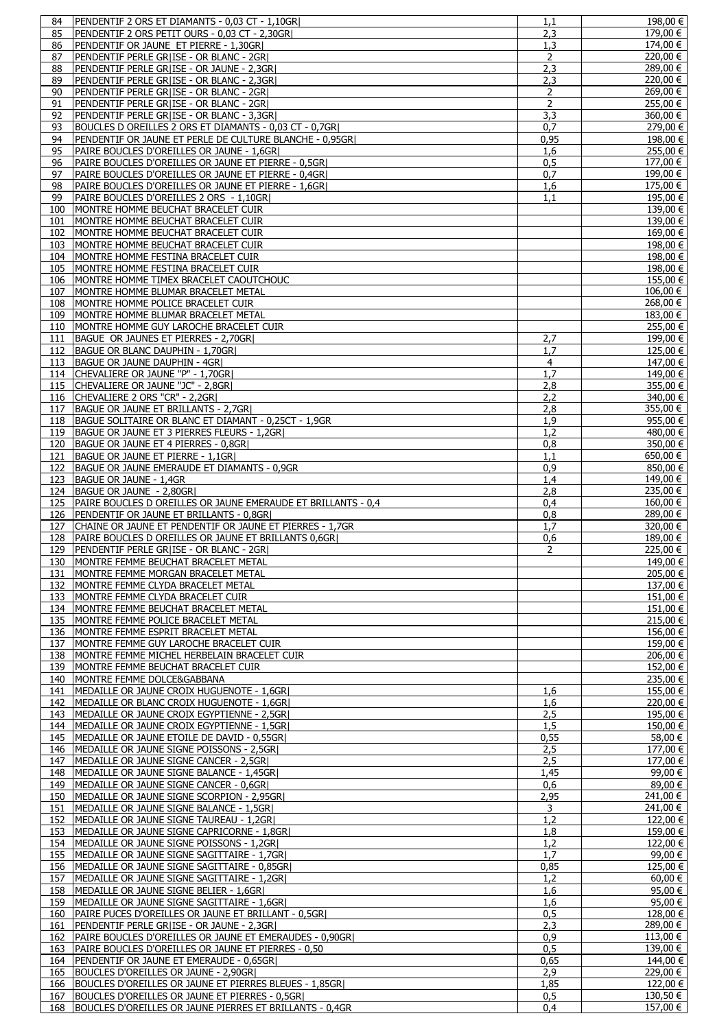| 84         | PENDENTIF 2 ORS ET DIAMANTS - 0,03 CT - 1,10GR                                                              | 1.1            | 198,00 €                                                                                                                                                                                                                                                                                                                                    |
|------------|-------------------------------------------------------------------------------------------------------------|----------------|---------------------------------------------------------------------------------------------------------------------------------------------------------------------------------------------------------------------------------------------------------------------------------------------------------------------------------------------|
| 85         | PENDENTIF 2 ORS PETIT OURS - 0,03 CT - 2,30GR                                                               | 2,3            | 179,00 €                                                                                                                                                                                                                                                                                                                                    |
|            |                                                                                                             |                |                                                                                                                                                                                                                                                                                                                                             |
| 86         | PENDENTIF OR JAUNE ET PIERRE - 1,30GR                                                                       | 1,3            | 174,00 €                                                                                                                                                                                                                                                                                                                                    |
| 87         | PENDENTIF PERLE GR ISE - OR BLANC - 2GR                                                                     | 2              | 220,00 €                                                                                                                                                                                                                                                                                                                                    |
|            |                                                                                                             |                | 289,00 €                                                                                                                                                                                                                                                                                                                                    |
| 88         | PENDENTIF PERLE GRIISE - OR JAUNE - 2,3GRI                                                                  | 2,3            |                                                                                                                                                                                                                                                                                                                                             |
| 89         | PENDENTIF PERLE GR ISE - OR BLANC - 2,3GR                                                                   | 2,3            | 220,00 €                                                                                                                                                                                                                                                                                                                                    |
| 90         | PENDENTIF PERLE GR ISE - OR BLANC - 2GR                                                                     | 2              | 269,00 €                                                                                                                                                                                                                                                                                                                                    |
|            |                                                                                                             |                |                                                                                                                                                                                                                                                                                                                                             |
| 91         | PENDENTIF PERLE GRIISE - OR BLANC - 2GRI                                                                    | 2              | 255,00 €                                                                                                                                                                                                                                                                                                                                    |
| 92         | PENDENTIF PERLE GR ISE - OR BLANC - 3,3GR                                                                   | 3,3            | 360,00 €                                                                                                                                                                                                                                                                                                                                    |
|            |                                                                                                             |                |                                                                                                                                                                                                                                                                                                                                             |
| 93         | BOUCLES D OREILLES 2 ORS ET DIAMANTS - 0,03 CT - 0,7GR                                                      | 0.7            | 279,00 €                                                                                                                                                                                                                                                                                                                                    |
| 94         | PENDENTIF OR JAUNE ET PERLE DE CULTURE BLANCHE - 0,95GR                                                     | 0,95           | 198,00 €                                                                                                                                                                                                                                                                                                                                    |
|            |                                                                                                             |                |                                                                                                                                                                                                                                                                                                                                             |
| 95         | PAIRE BOUCLES D'OREILLES OR JAUNE - 1,6GR                                                                   | 1,6            | 255,00 €                                                                                                                                                                                                                                                                                                                                    |
| 96         | PAIRE BOUCLES D'OREILLES OR JAUNE ET PIERRE - 0,5GR                                                         |                | 177,00 €                                                                                                                                                                                                                                                                                                                                    |
|            |                                                                                                             | 0,5            |                                                                                                                                                                                                                                                                                                                                             |
| 97         | PAIRE BOUCLES D'OREILLES OR JAUNE ET PIERRE - 0,4GR                                                         | 0,7            | 199,00 €                                                                                                                                                                                                                                                                                                                                    |
| 98         | PAIRE BOUCLES D'OREILLES OR JAUNE ET PIERRE - 1,6GR                                                         | 1,6            | 175,00 €                                                                                                                                                                                                                                                                                                                                    |
|            |                                                                                                             |                |                                                                                                                                                                                                                                                                                                                                             |
| 99         | PAIRE BOUCLES D'OREILLES 2 ORS - 1,10GR                                                                     | 1.1            | 195,00 €                                                                                                                                                                                                                                                                                                                                    |
| 100        |                                                                                                             |                | 139,00 €                                                                                                                                                                                                                                                                                                                                    |
|            | MONTRE HOMME BEUCHAT BRACELET CUIR                                                                          |                |                                                                                                                                                                                                                                                                                                                                             |
| 101        | MONTRE HOMME BEUCHAT BRACELET CUIR                                                                          |                | 139,00 €                                                                                                                                                                                                                                                                                                                                    |
| 102        | MONTRE HOMME BEUCHAT BRACELET CUIR                                                                          |                | 169,00 €                                                                                                                                                                                                                                                                                                                                    |
|            |                                                                                                             |                |                                                                                                                                                                                                                                                                                                                                             |
| 103        | MONTRE HOMME BEUCHAT BRACELET CUIR                                                                          |                | 198,00€                                                                                                                                                                                                                                                                                                                                     |
| 104        | MONTRE HOMME FESTINA BRACELET CUIR                                                                          |                | 198,00 €                                                                                                                                                                                                                                                                                                                                    |
|            |                                                                                                             |                |                                                                                                                                                                                                                                                                                                                                             |
| 105        | MONTRE HOMME FESTINA BRACELET CUIR                                                                          |                | 198,00 €                                                                                                                                                                                                                                                                                                                                    |
| 106        | MONTRE HOMME TIMEX BRACELET CAOUTCHOUC                                                                      |                | 155,00 €                                                                                                                                                                                                                                                                                                                                    |
|            |                                                                                                             |                |                                                                                                                                                                                                                                                                                                                                             |
| 107        | MONTRE HOMME BLUMAR BRACELET METAL                                                                          |                | $106,00 \in  $                                                                                                                                                                                                                                                                                                                              |
| 108        | MONTRE HOMME POLICE BRACELET CUIR                                                                           |                | 268,00 €                                                                                                                                                                                                                                                                                                                                    |
|            |                                                                                                             |                |                                                                                                                                                                                                                                                                                                                                             |
| 109        | MONTRE HOMME BLUMAR BRACELET METAL                                                                          |                | 183,00 €                                                                                                                                                                                                                                                                                                                                    |
| 110        | MONTRE HOMME GUY LAROCHE BRACELET CUIR                                                                      |                | 255,00 €                                                                                                                                                                                                                                                                                                                                    |
|            |                                                                                                             |                |                                                                                                                                                                                                                                                                                                                                             |
| 111        | BAGUE OR JAUNES ET PIERRES - 2,70GR                                                                         | 2,7            | 199,00 €                                                                                                                                                                                                                                                                                                                                    |
| 112        | BAGUE OR BLANC DAUPHIN - 1,70GR                                                                             | 1,7            | 125,00 €                                                                                                                                                                                                                                                                                                                                    |
|            |                                                                                                             |                |                                                                                                                                                                                                                                                                                                                                             |
| 113        | BAGUE OR JAUNE DAUPHIN - 4GRI                                                                               | $\overline{4}$ | 147,00 €                                                                                                                                                                                                                                                                                                                                    |
| 114        | CHEVALIERE OR JAUNE "P" - 1,70GR)                                                                           | 1.7            | 149,00 €                                                                                                                                                                                                                                                                                                                                    |
|            |                                                                                                             |                |                                                                                                                                                                                                                                                                                                                                             |
| 115        | CHEVALIERE OR JAUNE "JC" - 2,8GR                                                                            | 2,8            | $355,00 \in$                                                                                                                                                                                                                                                                                                                                |
| 116        | CHEVALIERE 2 ORS "CR" - 2,2GR                                                                               | 2,2            | 340,00 €                                                                                                                                                                                                                                                                                                                                    |
|            |                                                                                                             |                |                                                                                                                                                                                                                                                                                                                                             |
| 117        | BAGUE OR JAUNE ET BRILLANTS - 2,7GR                                                                         | 2,8            | 355,00 €                                                                                                                                                                                                                                                                                                                                    |
| 118        | BAGUE SOLITAIRE OR BLANC ET DIAMANT - 0,25CT - 1,9GR                                                        | 1,9            | 955,00 €                                                                                                                                                                                                                                                                                                                                    |
|            |                                                                                                             |                |                                                                                                                                                                                                                                                                                                                                             |
| 119        | BAGUE OR JAUNE ET 3 PIERRES FLEURS - 1,2GR                                                                  | 1.2            | 480,00 €                                                                                                                                                                                                                                                                                                                                    |
| 120        | BAGUE OR JAUNE ET 4 PIERRES - 0,8GR                                                                         | 0,8            | 350,00 €                                                                                                                                                                                                                                                                                                                                    |
|            |                                                                                                             |                |                                                                                                                                                                                                                                                                                                                                             |
| 121        | BAGUE OR JAUNE ET PIERRE - 1,1GRI                                                                           | 1,1            | 650,00 €                                                                                                                                                                                                                                                                                                                                    |
| 122        | BAGUE OR JAUNE EMERAUDE ET DIAMANTS - 0,9GR                                                                 | 0,9            | 850,00 €                                                                                                                                                                                                                                                                                                                                    |
|            |                                                                                                             |                |                                                                                                                                                                                                                                                                                                                                             |
| 123        | BAGUE OR JAUNE - 1,4GR                                                                                      | 1,4            | $149,00$ €                                                                                                                                                                                                                                                                                                                                  |
| 124        | BAGUE OR JAUNE - 2.80GRI                                                                                    | 2,8            | 235,00 €                                                                                                                                                                                                                                                                                                                                    |
|            |                                                                                                             |                |                                                                                                                                                                                                                                                                                                                                             |
| 125        | PAIRE BOUCLES D OREILLES OR JAUNE EMERAUDE ET BRILLANTS - 0,4                                               | 0,4            | 160,00 €                                                                                                                                                                                                                                                                                                                                    |
| 126        | PENDENTIF OR JAUNE ET BRILLANTS - 0,8GR                                                                     | 0,8            | 289,00 €                                                                                                                                                                                                                                                                                                                                    |
|            |                                                                                                             |                |                                                                                                                                                                                                                                                                                                                                             |
| 127        | CHAINE OR JAUNE ET PENDENTIF OR JAUNE ET PIERRES - 1,7GR                                                    | 1,7            | 320,00 €                                                                                                                                                                                                                                                                                                                                    |
|            |                                                                                                             |                |                                                                                                                                                                                                                                                                                                                                             |
|            |                                                                                                             |                |                                                                                                                                                                                                                                                                                                                                             |
| 128        | PAIRE BOUCLES D OREILLES OR JAUNE ET BRILLANTS 0,6GR                                                        | 0,6            | 189,00 €                                                                                                                                                                                                                                                                                                                                    |
| 129        | PENDENTIF PERLE GRIISE - OR BLANC - 2GRI                                                                    | 2              | 225,00 €                                                                                                                                                                                                                                                                                                                                    |
|            |                                                                                                             |                |                                                                                                                                                                                                                                                                                                                                             |
|            | 130 MONTRE FEMME BEUCHAT BRACELET METAL                                                                     |                |                                                                                                                                                                                                                                                                                                                                             |
| 131        | MONTRE FEMME MORGAN BRACELET METAL                                                                          |                |                                                                                                                                                                                                                                                                                                                                             |
|            |                                                                                                             |                |                                                                                                                                                                                                                                                                                                                                             |
| 132        | IMONTRE FEMME CLYDA BRACELET METAL                                                                          |                |                                                                                                                                                                                                                                                                                                                                             |
| 133        | MONTRE FEMME CLYDA BRACELET CUIR                                                                            |                |                                                                                                                                                                                                                                                                                                                                             |
|            |                                                                                                             |                |                                                                                                                                                                                                                                                                                                                                             |
| 134        | MONTRE FEMME BEUCHAT BRACELET METAL                                                                         |                |                                                                                                                                                                                                                                                                                                                                             |
| 135        | MONTRE FEMME POLICE BRACELET METAL                                                                          |                |                                                                                                                                                                                                                                                                                                                                             |
|            |                                                                                                             |                |                                                                                                                                                                                                                                                                                                                                             |
| 136        | MONTRE FEMME ESPRIT BRACELET METAL                                                                          |                |                                                                                                                                                                                                                                                                                                                                             |
| 137        | MONTRE FEMME GUY LAROCHE BRACELET CUIR                                                                      |                | 159,00 €                                                                                                                                                                                                                                                                                                                                    |
|            |                                                                                                             |                |                                                                                                                                                                                                                                                                                                                                             |
| 138        | MONTRE FEMME MICHEL HERBELAIN BRACELET CUIR                                                                 |                |                                                                                                                                                                                                                                                                                                                                             |
| 139        | <b>IMONTRE FEMME BEUCHAT BRACELET CUIR</b>                                                                  |                |                                                                                                                                                                                                                                                                                                                                             |
|            |                                                                                                             |                |                                                                                                                                                                                                                                                                                                                                             |
| 140        | MONTRE FEMME DOLCE&GABBANA                                                                                  |                |                                                                                                                                                                                                                                                                                                                                             |
| 141        | MEDAILLE OR JAUNE CROIX HUGUENOTE - 1,6GR                                                                   | 1,6            |                                                                                                                                                                                                                                                                                                                                             |
|            |                                                                                                             |                |                                                                                                                                                                                                                                                                                                                                             |
| 142        | MEDAILLE OR BLANC CROIX HUGUENOTE - 1,6GR                                                                   | 1,6            |                                                                                                                                                                                                                                                                                                                                             |
| 143        | MEDAILLE OR JAUNE CROIX EGYPTIENNE - 2,5GR                                                                  | 2,5            |                                                                                                                                                                                                                                                                                                                                             |
|            |                                                                                                             |                |                                                                                                                                                                                                                                                                                                                                             |
|            | 144   MEDAILLE OR JAUNE CROIX EGYPTIENNE - 1,5GR                                                            | 1,5            |                                                                                                                                                                                                                                                                                                                                             |
| 145        | MEDAILLE OR JAUNE ETOILE DE DAVID - 0,55GR                                                                  | 0,55           |                                                                                                                                                                                                                                                                                                                                             |
|            |                                                                                                             |                |                                                                                                                                                                                                                                                                                                                                             |
| 146        | MEDAILLE OR JAUNE SIGNE POISSONS - 2,5GR                                                                    | 2,5            |                                                                                                                                                                                                                                                                                                                                             |
| 147        | MEDAILLE OR JAUNE SIGNE CANCER - 2,5GR                                                                      | 2.5            | 177,00 €                                                                                                                                                                                                                                                                                                                                    |
|            |                                                                                                             |                |                                                                                                                                                                                                                                                                                                                                             |
| 148        | MEDAILLE OR JAUNE SIGNE BALANCE - 1,45GR                                                                    | 1,45           | 99,00 €                                                                                                                                                                                                                                                                                                                                     |
| 149        | MEDAILLE OR JAUNE SIGNE CANCER - 0,6GR                                                                      | 0,6            |                                                                                                                                                                                                                                                                                                                                             |
|            |                                                                                                             |                |                                                                                                                                                                                                                                                                                                                                             |
| 150        | MEDAILLE OR JAUNE SIGNE SCORPION - 2,95GR                                                                   | 2,95           | 241,00 €                                                                                                                                                                                                                                                                                                                                    |
| 151        | MEDAILLE OR JAUNE SIGNE BALANCE - 1,5GR                                                                     | 3              | 241,00 €                                                                                                                                                                                                                                                                                                                                    |
|            |                                                                                                             |                |                                                                                                                                                                                                                                                                                                                                             |
| 152        | MEDAILLE OR JAUNE SIGNE TAUREAU - 1,2GR                                                                     | 1.2            |                                                                                                                                                                                                                                                                                                                                             |
| 153        | MEDAILLE OR JAUNE SIGNE CAPRICORNE - 1,8GR                                                                  | 1,8            |                                                                                                                                                                                                                                                                                                                                             |
|            |                                                                                                             |                |                                                                                                                                                                                                                                                                                                                                             |
|            | 154   MEDAILLE OR JAUNE SIGNE POISSONS - 1,2GR                                                              | 1,2            |                                                                                                                                                                                                                                                                                                                                             |
| 155        | MEDAILLE OR JAUNE SIGNE SAGITTAIRE - 1,7GR                                                                  | 1,7            |                                                                                                                                                                                                                                                                                                                                             |
|            |                                                                                                             |                |                                                                                                                                                                                                                                                                                                                                             |
| 156        | MEDAILLE OR JAUNE SIGNE SAGITTAIRE - 0,85GR                                                                 | 0,85           | 125,00 €                                                                                                                                                                                                                                                                                                                                    |
| 157        | MEDAILLE OR JAUNE SIGNE SAGITTAIRE - 1,2GRI                                                                 | 1.2            | $60,00 \in$                                                                                                                                                                                                                                                                                                                                 |
|            |                                                                                                             |                |                                                                                                                                                                                                                                                                                                                                             |
| 158        | MEDAILLE OR JAUNE SIGNE BELIER - 1,6GR                                                                      | 1,6            | 95,00 €                                                                                                                                                                                                                                                                                                                                     |
| 159        | MEDAILLE OR JAUNE SIGNE SAGITTAIRE - 1,6GR                                                                  | 1,6            | 95,00 €                                                                                                                                                                                                                                                                                                                                     |
|            |                                                                                                             |                |                                                                                                                                                                                                                                                                                                                                             |
| 160        | PAIRE PUCES D'OREILLES OR JAUNE ET BRILLANT - 0,5GR                                                         | 0,5            |                                                                                                                                                                                                                                                                                                                                             |
| 161        | PENDENTIF PERLE GR ISE - OR JAUNE - 2,3GR                                                                   | 2,3            | 289,00 €                                                                                                                                                                                                                                                                                                                                    |
|            |                                                                                                             |                |                                                                                                                                                                                                                                                                                                                                             |
| 162        | PAIRE BOUCLES D'OREILLES OR JAUNE ET EMERAUDES - 0,90GRI                                                    | 0,9            |                                                                                                                                                                                                                                                                                                                                             |
| 163        | PAIRE BOUCLES D'OREILLES OR JAUNE ET PIERRES - 0,50                                                         | 0,5            | 139,00 €                                                                                                                                                                                                                                                                                                                                    |
|            |                                                                                                             |                |                                                                                                                                                                                                                                                                                                                                             |
| 164        | <b>PENDENTIF OR JAUNE ET EMERAUDE - 0,65GRI</b>                                                             | 0,65           |                                                                                                                                                                                                                                                                                                                                             |
| 165        | BOUCLES D'OREILLES OR JAUNE - 2,90GR                                                                        | 2,9            |                                                                                                                                                                                                                                                                                                                                             |
|            |                                                                                                             |                |                                                                                                                                                                                                                                                                                                                                             |
| 166        | BOUCLES D'OREILLES OR JAUNE ET PIERRES BLEUES - 1,85GR                                                      | 1,85           | 149,00 €<br>205,00 €<br>137,00 €<br>151,00 €<br>151,00€<br>215,00 €<br>156,00 €<br>206,00 €<br>152,00 €<br>235,00 €<br>155,00 €<br>220,00 €<br>195,00 €<br>150,00 €<br>58,00 €<br>177,00 €<br>$89,00 \in$  <br>122,00 €<br>159,00 €<br>122,00 €<br>99,00 €<br>128,00 €<br>$113,00 \in  $<br>144,00 €<br>$\overline{229,00}$ €  <br>122,00 € |
| 167<br>168 | BOUCLES D'OREILLES OR JAUNE ET PIERRES - 0,5GRI<br>BOUCLES D'OREILLES OR JAUNE PIERRES ET BRILLANTS - 0,4GR | 0,5<br>0,4     | $130,50 \in  $<br>$\overline{157,00}$ €                                                                                                                                                                                                                                                                                                     |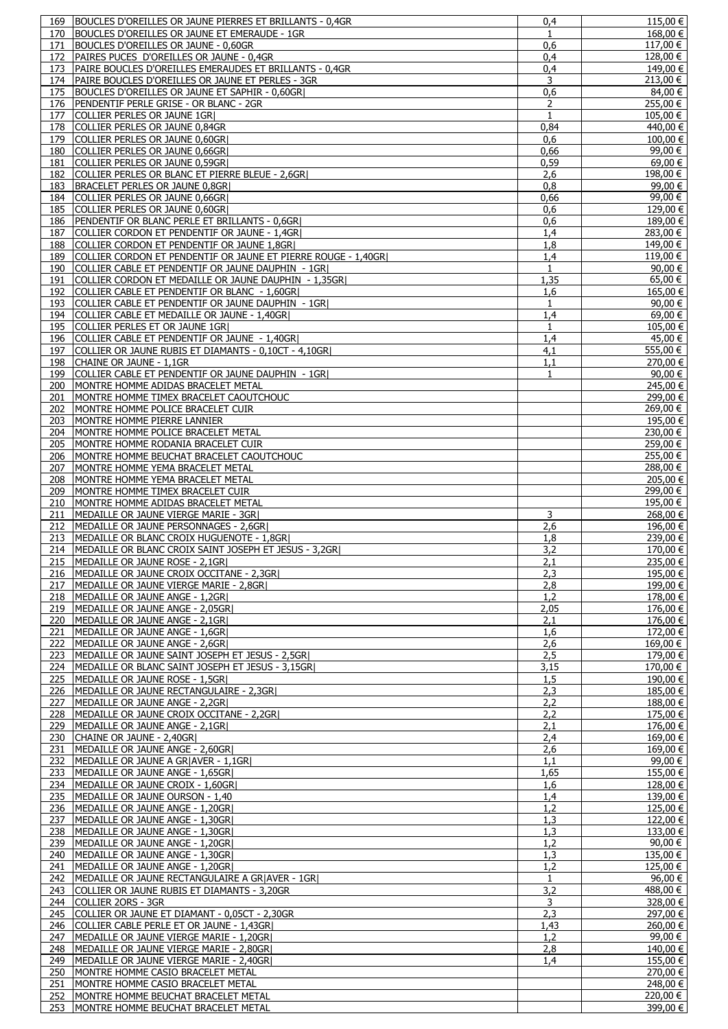| 169 | BOUCLES D'OREILLES OR JAUNE PIERRES ET BRILLANTS - 0,4GR      | 0,4          | 115,00€               |
|-----|---------------------------------------------------------------|--------------|-----------------------|
| 170 | BOUCLES D'OREILLES OR JAUNE ET EMERAUDE - 1GR                 | $\mathbf{1}$ | 168,00€               |
| 171 | BOUCLES D'OREILLES OR JAUNE - 0,60GR                          | 0,6          | $117,00 \in  $        |
| 172 | PAIRES PUCES D'OREILLES OR JAUNE - 0,4GR                      | 0,4          | 128,00 €              |
|     |                                                               |              |                       |
| 173 | PAIRE BOUCLES D'OREILLES EMERAUDES ET BRILLANTS - 0,4GR       | 0.4          | 149,00 €              |
| 174 | PAIRE BOUCLES D'OREILLES OR JAUNE ET PERLES - 3GR             | 3            | 213,00 €              |
| 175 | BOUCLES D'OREILLES OR JAUNE ET SAPHIR - 0,60GR                | 0,6          | 84,00 €               |
| 176 | PENDENTIF PERLE GRISE - OR BLANC - 2GR                        | 2            | 255,00 €              |
| 177 | COLLIER PERLES OR JAUNE 1GR                                   | $\mathbf{1}$ | 105,00 €              |
| 178 | COLLIER PERLES OR JAUNE 0,84GR                                | 0,84         | 440,00 €              |
| 179 | COLLIER PERLES OR JAUNE 0,60GR                                | 0,6          | $\overline{100,00}$ € |
| 180 | COLLIER PERLES OR JAUNE 0,66GR                                | 0,66         | 99,00 €               |
|     | COLLIER PERLES OR JAUNE 0,59GR                                |              | $69,00 \in$           |
| 181 |                                                               | 0,59         |                       |
| 182 | COLLIER PERLES OR BLANC ET PIERRE BLEUE - 2,6GR               | 2,6          | 198,00 €              |
| 183 | BRACELET PERLES OR JAUNE 0,8GR                                | 0,8          | 99,00 €               |
| 184 | COLLIER PERLES OR JAUNE 0,66GR                                | 0,66         | 99,00 €               |
| 185 | COLLIER PERLES OR JAUNE 0,60GR                                | 0,6          | 129,00 €              |
| 186 | <b>PENDENTIF OR BLANC PERLE ET BRILLANTS - 0,6GRI</b>         | 0,6          | 189,00 €              |
| 187 | COLLIER CORDON ET PENDENTIF OR JAUNE - 1,4GR                  | 1,4          | 283,00 €              |
| 188 | COLLIER CORDON ET PENDENTIF OR JAUNE 1,8GR                    | 1,8          | 149,00 €              |
|     |                                                               |              |                       |
| 189 | COLLIER CORDON ET PENDENTIF OR JAUNE ET PIERRE ROUGE - 1,40GR | 1.4          | 119,00 €              |
| 190 | COLLIER CABLE ET PENDENTIF OR JAUNE DAUPHIN - 1GR             | $\mathbf{1}$ | 90,00 €               |
| 191 | COLLIER CORDON ET MEDAILLE OR JAUNE DAUPHIN - 1,35GR          | 1,35         | $65,00 \in$           |
| 192 | COLLIER CABLE ET PENDENTIF OR BLANC - 1,60GR                  | 1,6          | $165,00 \in$          |
| 193 | COLLIER CABLE ET PENDENTIF OR JAUNE DAUPHIN - 1GRI            | $\mathbf{1}$ | 90,00 €               |
| 194 | COLLIER CABLE ET MEDAILLE OR JAUNE - 1,40GR                   | 1.4          | 69,00 €               |
| 195 | COLLIER PERLES ET OR JAUNE 1GR                                | $\mathbf{1}$ | $105,00 \in$          |
|     |                                                               |              |                       |
| 196 | COLLIER CABLE ET PENDENTIF OR JAUNE - 1,40GR                  | 1,4          | 45,00 €               |
| 197 | COLLIER OR JAUNE RUBIS ET DIAMANTS - 0,10CT - 4,10GR          | 4,1          | 555,00 €              |
| 198 | ICHAINE OR JAUNE - 1.1GR                                      | 1,1          | 270,00 €              |
| 199 | COLLIER CABLE ET PENDENTIF OR JAUNE DAUPHIN - 1GR             | 1            | 90,00 €               |
| 200 | MONTRE HOMME ADIDAS BRACELET METAL                            |              | 245,00 €              |
| 201 | MONTRE HOMME TIMEX BRACELET CAOUTCHOUC                        |              | 299,00 €              |
| 202 | MONTRE HOMME POLICE BRACELET CUIR                             |              | 269,00 €              |
|     |                                                               |              |                       |
| 203 | MONTRE HOMME PIERRE LANNIER                                   |              | 195,00 €              |
| 204 | MONTRE HOMME POLICE BRACELET METAL                            |              | 230,00 €              |
| 205 | MONTRE HOMME RODANIA BRACELET CUIR                            |              | 259,00 €              |
| 206 | MONTRE HOMME BEUCHAT BRACELET CAOUTCHOUC                      |              | 255,00 €              |
| 207 | MONTRE HOMME YEMA BRACELET METAL                              |              | 288,00 €              |
| 208 | MONTRE HOMME YEMA BRACELET METAL                              |              | 205,00 €              |
|     |                                                               |              | 299,00€               |
| 209 | MONTRE HOMME TIMEX BRACELET CUIR                              |              |                       |
| 210 | MONTRE HOMME ADIDAS BRACELET METAL                            |              | 195,00 €              |
| 211 | MEDAILLE OR JAUNE VIERGE MARIE - 3GR                          | 3            | 268,00 €              |
| 212 | MEDAILLE OR JAUNE PERSONNAGES - 2,6GR                         | 2,6          | 196,00 €              |
| 213 | MEDAILLE OR BLANC CROIX HUGUENOTE - 1,8GR                     | 1,8          | 239,00 €              |
|     | 214   MEDAILLE OR BLANC CROIX SAINT JOSEPH ET JESUS - 3,2GR   | 3,2          | 170,00 €              |
|     | 215 MEDAILLE OR JAUNE ROSE - 2,1GR                            | 2,1          | 235,00 €              |
|     | 216   MEDAILLE OR JAUNE CROIX OCCITANE - 2,3GR                |              | 195,00 €              |
|     |                                                               | 2,3          |                       |
| 217 | MEDAILLE OR JAUNE VIERGE MARIE - 2,8GR                        | 2,8          | 199,00 €              |
|     | 218   MEDAILLE OR JAUNE ANGE - 1,2GR                          | 1,2          | 178,00 €              |
|     | 219   MEDAILLE OR JAUNE ANGE - 2,05GR                         | 2,05         | 176,00 €              |
| 220 | MEDAILLE OR JAUNE ANGE - 2,1GR                                | 2,1          | $176,00 \in$          |
| 221 | MEDAILLE OR JAUNE ANGE - 1,6GR                                | 1,6          | 172,00 €              |
| 222 | MEDAILLE OR JAUNE ANGE - 2,6GR                                | 2,6          | 169,00 €              |
|     | 223 MEDAILLE OR JAUNE SAINT JOSEPH ET JESUS - 2,5GR           | 2,5          | 179,00 €              |
|     |                                                               |              |                       |
|     | 224 MEDAILLE OR BLANC SAINT JOSEPH ET JESUS - 3,15GR          | 3,15         | 170,00 €              |
|     | 225 MEDAILLE OR JAUNE ROSE - 1,5GR                            | 1,5          | 190,00 €              |
|     | 226   MEDAILLE OR JAUNE RECTANGULAIRE - 2,3GR                 | 2,3          | 185,00 €              |
| 227 | MEDAILLE OR JAUNE ANGE - 2,2GR                                | 2,2          | $188,00 \in$          |
|     | 228   MEDAILLE OR JAUNE CROIX OCCITANE - 2,2GR                | 2,2          | 175,00 €              |
|     | 229 MEDAILLE OR JAUNE ANGE - 2,1GR                            | 2,1          | $176,00 \in$          |
|     | 230 CHAINE OR JAUNE - 2,40GR                                  | 2,4          | $169,00 \in$          |
| 231 | MEDAILLE OR JAUNE ANGE - 2,60GR                               |              | 169,00 €              |
|     |                                                               | 2,6          |                       |
| 232 | MEDAILLE OR JAUNE A GRIAVER - 1,1GRI                          | 1,1          | 99,00 €               |
| 233 | MEDAILLE OR JAUNE ANGE - 1,65GR                               | 1,65         | 155,00 €              |
|     | 234 MEDAILLE OR JAUNE CROIX - 1,60GR                          | 1,6          | 128,00€               |
|     | 235 MEDAILLE OR JAUNE OURSON - 1,40                           | 1,4          | $139,00 \in$          |
|     | 236   MEDAILLE OR JAUNE ANGE - 1,20GR                         | 1,2          | $125,00 \in$          |
| 237 | MEDAILLE OR JAUNE ANGE - 1,30GR                               | 1,3          | 122,00 €              |
|     | 238   MEDAILLE OR JAUNE ANGE - 1,30GR                         | 1,3          | $133,00 \in$          |
|     |                                                               |              | 90,00 €               |
|     | 239 MEDAILLE OR JAUNE ANGE - 1,20GR                           | 1,2          |                       |
| 240 | MEDAILLE OR JAUNE ANGE - 1,30GR                               | 1,3          | 135,00 €              |
| 241 | MEDAILLE OR JAUNE ANGE - 1,20GR                               | 1,2          | 125,00 €              |
| 242 | MEDAILLE OR JAUNE RECTANGULAIRE A GRIAVER - 1GRI              | $\mathbf{1}$ | 96.00 $\in$           |
| 243 | COLLIER OR JAUNE RUBIS ET DIAMANTS - 3,20GR                   | 3,2          | 488,00 €              |
|     | 244 COLLIER 20RS - 3GR                                        | 3            | 328,00 €              |
|     | 245 COLLIER OR JAUNE ET DIAMANT - 0,05CT - 2,30GR             | 2,3          | 297,00 €              |
|     | 246 COLLIER CABLE PERLE ET OR JAUNE - 1,43GR                  | 1,43         | 260,00 €              |
|     | MEDAILLE OR JAUNE VIERGE MARIE - 1,20GRI                      | 1,2          | 99,00 €               |
| 247 |                                                               |              |                       |
| 248 | MEDAILLE OR JAUNE VIERGE MARIE - 2,80GR                       | 2,8          | 140,00 €              |
|     | 249   MEDAILLE OR JAUNE VIERGE MARIE - 2,40GR                 | 1.4          | 155,00 €              |
| 250 | MONTRE HOMME CASIO BRACELET METAL                             |              | 270,00 €              |
| 251 | MONTRE HOMME CASIO BRACELET METAL                             |              | 248,00 €              |
| 252 | MONTRE HOMME BEUCHAT BRACELET METAL                           |              | 220,00 €              |
| 253 | MONTRE HOMME BEUCHAT BRACELET METAL                           |              | 399,00 €              |
|     |                                                               |              |                       |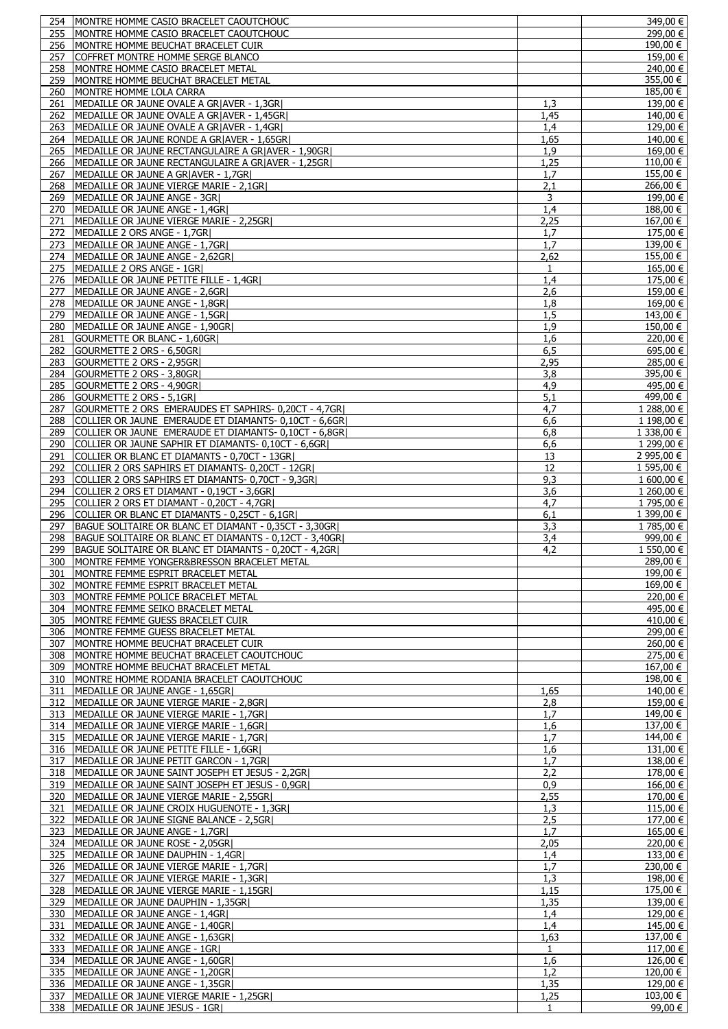|     | IMONTRE HOMME CASIO BRACELET CAOUTCHOUC                                      |                      | $\frac{1}{3}49,00$ €                                                                                                                                           |
|-----|------------------------------------------------------------------------------|----------------------|----------------------------------------------------------------------------------------------------------------------------------------------------------------|
| 255 | MONTRE HOMME CASIO BRACELET CAOUTCHOUC                                       |                      | $\frac{1}{299,00}$ €                                                                                                                                           |
| 256 | MONTRE HOMME BEUCHAT BRACELET CUIR                                           |                      | 190,00 €                                                                                                                                                       |
| 257 | COFFRET MONTRE HOMME SERGE BLANCO                                            |                      | 159,00 €                                                                                                                                                       |
| 258 | MONTRE HOMME CASIO BRACELET METAL                                            |                      | 240,00 €                                                                                                                                                       |
| 259 | MONTRE HOMME BEUCHAT BRACELET METAL                                          |                      | 355,00 €                                                                                                                                                       |
| 260 | MONTRE HOMME LOLA CARRA                                                      |                      | 185,00 €                                                                                                                                                       |
| 261 | MEDAILLE OR JAUNE OVALE A GRIAVER - 1.3GRI                                   | 1,3                  | 139.00 €                                                                                                                                                       |
| 262 | MEDAILLE OR JAUNE OVALE A GR AVER - 1,45GR                                   | 1,45                 | 140,00 €                                                                                                                                                       |
| 263 | MEDAILLE OR JAUNE OVALE A GRIAVER - 1,4GRI                                   | 1,4                  | 129,00 €                                                                                                                                                       |
| 264 | MEDAILLE OR JAUNE RONDE A GR AVER - 1,65GR                                   | 1,65                 | 140,00 €                                                                                                                                                       |
| 265 | MEDAILLE OR JAUNE RECTANGULAIRE A GR AVER - 1,90GR                           | 1,9                  | $169,00 \in$                                                                                                                                                   |
| 266 | MEDAILLE OR JAUNE RECTANGULAIRE A GRIAVER - 1,25GRI                          | 1,25                 | 110,00 €                                                                                                                                                       |
| 267 | MEDAILLE OR JAUNE A GR AVER - 1,7GR                                          | 1,7                  | 155,00 €                                                                                                                                                       |
| 268 | MEDAILLE OR JAUNE VIERGE MARIE - 2,1GR                                       | 2,1                  | 266,00 €                                                                                                                                                       |
| 269 | MEDAILLE OR JAUNE ANGE - 3GR                                                 | 3                    | $199,00$ €                                                                                                                                                     |
| 270 | MEDAILLE OR JAUNE ANGE - 1,4GR                                               | 1,4                  | 188,00 €                                                                                                                                                       |
| 271 | MEDAILLE OR JAUNE VIERGE MARIE - 2,25GR                                      | 2,25                 | 167,00 €                                                                                                                                                       |
| 272 | MEDAILLE 2 ORS ANGE - 1,7GR                                                  | 1,7                  | 175,00 €                                                                                                                                                       |
|     |                                                                              |                      | $\frac{1}{139,00}$ €                                                                                                                                           |
| 273 | MEDAILLE OR JAUNE ANGE - 1,7GR                                               | 1,7                  |                                                                                                                                                                |
| 274 | MEDAILLE OR JAUNE ANGE - 2,62GR                                              | 2,62                 | 155,00 €                                                                                                                                                       |
| 275 | MEDAILLE 2 ORS ANGE - 1GR                                                    | 1                    | $165,00 \in$                                                                                                                                                   |
| 276 | MEDAILLE OR JAUNE PETITE FILLE - 1,4GR                                       | 1,4                  | 175,00 €                                                                                                                                                       |
| 277 | MEDAILLE OR JAUNE ANGE - 2,6GR                                               | 2,6                  | 159,00 €                                                                                                                                                       |
| 278 | MEDAILLE OR JAUNE ANGE - 1,8GR                                               | 1,8                  | 169,00 €                                                                                                                                                       |
| 279 | MEDAILLE OR JAUNE ANGE - 1,5GR                                               | 1,5                  | 143,00 €                                                                                                                                                       |
| 280 | MEDAILLE OR JAUNE ANGE - 1,90GR                                              | 1,9                  | 150,00 €                                                                                                                                                       |
| 281 | GOURMETTE OR BLANC - 1,60GRI                                                 | 1,6                  | 220,00 €                                                                                                                                                       |
| 282 | GOURMETTE 2 ORS - 6,50GR                                                     | 6,5                  | 695,00 €                                                                                                                                                       |
| 283 | GOURMETTE 2 ORS - 2,95GR                                                     | 2,95                 | 285,00 €                                                                                                                                                       |
| 284 | GOURMETTE 2 ORS - 3,80GR                                                     | 3,8                  | 395,00 €                                                                                                                                                       |
| 285 | GOURMETTE 2 ORS - 4,90GR                                                     | 4,9                  | 495,00 €                                                                                                                                                       |
| 286 | GOURMETTE 2 ORS - 5,1GR                                                      | 5,1                  | 499,00 €                                                                                                                                                       |
| 287 | GOURMETTE 2 ORS EMERAUDES ET SAPHIRS- 0,20CT - 4,7GR                         | 4,7                  | 1 288,00 €                                                                                                                                                     |
| 288 | COLLIER OR JAUNE EMERAUDE ET DIAMANTS- 0,10CT - 6,6GR                        | 6,6                  | 1 198,00 €                                                                                                                                                     |
|     | COLLIER OR JAUNE EMERAUDE ET DIAMANTS- 0,10CT - 6,8GR                        |                      | 1 338,00 €                                                                                                                                                     |
| 289 |                                                                              | 6,8                  |                                                                                                                                                                |
| 290 | COLLIER OR JAUNE SAPHIR ET DIAMANTS- 0,10CT - 6,6GR                          | 6,6                  | 1 299,00 €                                                                                                                                                     |
| 291 | COLLIER OR BLANC ET DIAMANTS - 0,70CT - 13GR                                 | 13                   | 2 995,00 €                                                                                                                                                     |
| 292 | COLLIER 2 ORS SAPHIRS ET DIAMANTS- 0,20CT - 12GR                             | 12                   | 1 595,00 €                                                                                                                                                     |
| 293 | COLLIER 2 ORS SAPHIRS ET DIAMANTS- 0,70CT - 9,3GR                            | 9,3                  | $1600,00 \in$                                                                                                                                                  |
| 294 | COLLIER 2 ORS ET DIAMANT - 0,19CT - 3,6GR                                    | 3,6                  | 1 260,00 €                                                                                                                                                     |
| 295 | COLLIER 2 ORS ET DIAMANT - 0,20CT - 4,7GR                                    | 4,7                  | 1 795,00 €                                                                                                                                                     |
| 296 | COLLIER OR BLANC ET DIAMANTS - 0.25CT - 6.1GRI                               | 6,1                  | 1 399,00 €                                                                                                                                                     |
| 297 | BAGUE SOLITAIRE OR BLANC ET DIAMANT - 0,35CT - 3,30GR                        | 3,3                  | 1785,00 €                                                                                                                                                      |
| 298 | BAGUE SOLITAIRE OR BLANC ET DIAMANTS - 0,12CT - 3,40GR                       | 3,4                  | $999,00$ €                                                                                                                                                     |
| 299 | BAGUE SOLITAIRE OR BLANC ET DIAMANTS - 0,20CT - 4,2GR                        | 4,2                  | 1 550,00 €                                                                                                                                                     |
|     | 300 MONTRE FEMME YONGER&BRESSON BRACELET METAL                               |                      | 289,00 €                                                                                                                                                       |
|     | 301   MONTRE FEMME ESPRIT BRACELET METAL                                     |                      | 199,00 €                                                                                                                                                       |
| 302 | MONTRE FEMME ESPRIT BRACELET METAL                                           |                      |                                                                                                                                                                |
|     |                                                                              |                      |                                                                                                                                                                |
| 303 |                                                                              |                      |                                                                                                                                                                |
|     | MONTRE FEMME POLICE BRACELET METAL                                           |                      |                                                                                                                                                                |
| 304 | MONTRE FEMME SEIKO BRACELET METAL                                            |                      |                                                                                                                                                                |
| 305 | MONTRE FEMME GUESS BRACELET CUIR                                             |                      |                                                                                                                                                                |
| 306 | MONTRE FEMME GUESS BRACELET METAL                                            |                      |                                                                                                                                                                |
| 307 | MONTRE HOMME BEUCHAT BRACELET CUIR                                           |                      | 260,00 €                                                                                                                                                       |
| 308 | MONTRE HOMME BEUCHAT BRACELET CAOUTCHOUC                                     |                      | 275,00 €                                                                                                                                                       |
| 309 | MONTRE HOMME BEUCHAT BRACELET METAL                                          |                      | 167,00 €                                                                                                                                                       |
| 310 | MONTRE HOMME RODANIA BRACELET CAOUTCHOUC                                     |                      | 198,00 €                                                                                                                                                       |
| 311 | MEDAILLE OR JAUNE ANGE - 1,65GR                                              | 1,65                 |                                                                                                                                                                |
| 312 | MEDAILLE OR JAUNE VIERGE MARIE - 2,8GR                                       | 2,8                  | 169,00 €<br>220,00 €<br>495,00 €<br>$410,00 \in$<br>299,00 €<br>140,00 €<br>159,00 €                                                                           |
| 313 | MEDAILLE OR JAUNE VIERGE MARIE - 1,7GR                                       | 1,7                  | 149,00 €                                                                                                                                                       |
|     | 314   MEDAILLE OR JAUNE VIERGE MARIE - 1,6GR                                 | 1,6                  | 137,00 €                                                                                                                                                       |
|     | 315 MEDAILLE OR JAUNE VIERGE MARIE - 1,7GR                                   | 1,7                  | 144,00 €                                                                                                                                                       |
|     | 316   MEDAILLE OR JAUNE PETITE FILLE - 1,6GR                                 | 1,6                  | 131,00 €                                                                                                                                                       |
| 317 | MEDAILLE OR JAUNE PETIT GARCON - 1,7GR                                       | 1,7                  | 138,00 €                                                                                                                                                       |
| 318 | MEDAILLE OR JAUNE SAINT JOSEPH ET JESUS - 2,2GR                              | 2,2                  | 178,00 €                                                                                                                                                       |
| 319 | MEDAILLE OR JAUNE SAINT JOSEPH ET JESUS - 0,9GR                              | 0,9                  | 166,00 €                                                                                                                                                       |
| 320 | MEDAILLE OR JAUNE VIERGE MARIE - 2,55GR                                      | 2,55                 |                                                                                                                                                                |
| 321 | MEDAILLE OR JAUNE CROIX HUGUENOTE - 1,3GR                                    |                      |                                                                                                                                                                |
| 322 | MEDAILLE OR JAUNE SIGNE BALANCE - 2,5GR                                      | 1,3                  |                                                                                                                                                                |
|     |                                                                              | 2,5                  |                                                                                                                                                                |
| 323 | MEDAILLE OR JAUNE ANGE - 1,7GR                                               | 1,7                  | 165,00 €                                                                                                                                                       |
| 324 | MEDAILLE OR JAUNE ROSE - 2,05GR                                              | 2,05                 | 220,00 €                                                                                                                                                       |
| 325 | MEDAILLE OR JAUNE DAUPHIN - 1,4GR                                            | 1,4                  |                                                                                                                                                                |
| 326 | MEDAILLE OR JAUNE VIERGE MARIE - 1,7GR                                       | 1,7                  | 230,00 €                                                                                                                                                       |
| 327 | MEDAILLE OR JAUNE VIERGE MARIE - 1,3GR                                       | 1,3                  |                                                                                                                                                                |
| 328 | MEDAILLE OR JAUNE VIERGE MARIE - 1,15GR                                      | 1,15                 | 175,00 €                                                                                                                                                       |
| 329 | MEDAILLE OR JAUNE DAUPHIN - 1,35GR                                           | 1,35                 |                                                                                                                                                                |
| 330 | MEDAILLE OR JAUNE ANGE - 1,4GR                                               | 1,4                  |                                                                                                                                                                |
| 331 | MEDAILLE OR JAUNE ANGE - 1,40GR                                              | 1,4                  |                                                                                                                                                                |
| 332 | MEDAILLE OR JAUNE ANGE - 1,63GR                                              | 1,63                 | 137,00 €                                                                                                                                                       |
| 333 | MEDAILLE OR JAUNE ANGE - 1GRI                                                | $\mathbf{1}$         | $117,00 \in$                                                                                                                                                   |
| 334 | MEDAILLE OR JAUNE ANGE - 1,60GR                                              | 1,6                  |                                                                                                                                                                |
|     | 335 MEDAILLE OR JAUNE ANGE - 1,20GR                                          | 1,2                  |                                                                                                                                                                |
|     | 336   MEDAILLE OR JAUNE ANGE - 1,35GR                                        | 1,35                 |                                                                                                                                                                |
| 337 | MEDAILLE OR JAUNE VIERGE MARIE - 1,25GR<br>338 MEDAILLE OR JAUNE JESUS - 1GR | 1,25<br>$\mathbf{1}$ | 170,00 €<br>$115,00 \in$<br>177,00 €<br>133,00 €<br>198,00 €<br>139,00€<br>129,00 €<br>145,00 €<br>126,00 €<br>120,00 €<br>129.00 €<br>$103,00 \in$<br>99,00 € |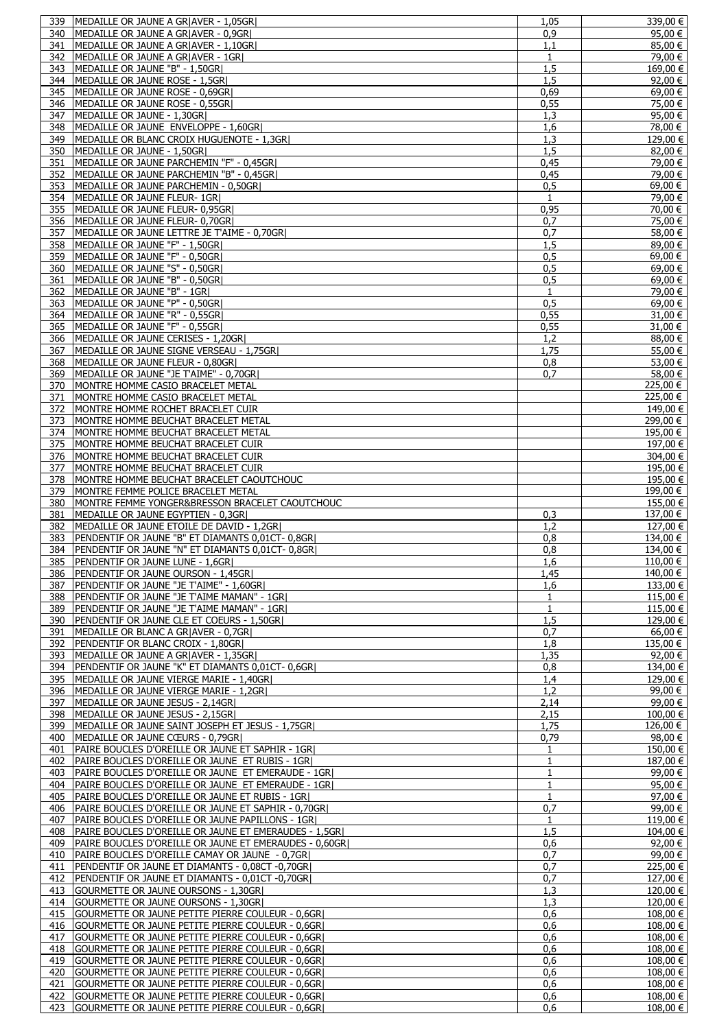| 339        | MEDAILLE OR JAUNE A GRIAVER - 1,05GRI                                                                | 1.05         | $339,00$ €                   |
|------------|------------------------------------------------------------------------------------------------------|--------------|------------------------------|
| 340        | MEDAILLE OR JAUNE A GR AVER - 0,9GR                                                                  | 0,9          | 95,00 €                      |
|            |                                                                                                      |              |                              |
| 341        | MEDAILLE OR JAUNE A GRIAVER - 1,10GRI                                                                | 1.1          | 85,00 €                      |
| 342        | MEDAILLE OR JAUNE A GR AVER - 1GR                                                                    | $\mathbf{1}$ | $79,00$ €                    |
| 343        | MEDAILLE OR JAUNE "B" - 1,50GR)                                                                      | 1,5          | 169,00 €                     |
|            |                                                                                                      |              |                              |
| 344        | MEDAILLE OR JAUNE ROSE - 1,5GR                                                                       | 1.5          | 92,00 €                      |
| 345        | MEDAILLE OR JAUNE ROSE - 0,69GR                                                                      | 0,69         | 69,00 €                      |
| 346        | MEDAILLE OR JAUNE ROSE - 0.55GRI                                                                     | 0,55         | 75,00 €                      |
|            |                                                                                                      |              |                              |
| 347        | MEDAILLE OR JAUNE - 1,30GR                                                                           | 1,3          | 95,00 €                      |
| 348        | MEDAILLE OR JAUNE ENVELOPPE - 1,60GR                                                                 | 1,6          | 78,00 €                      |
| 349        | MEDAILLE OR BLANC CROIX HUGUENOTE - 1,3GR                                                            | 1,3          | 129,00 €                     |
|            |                                                                                                      |              |                              |
| 350        | MEDAILLE OR JAUNE - 1,50GR                                                                           | 1,5          | 82,00 €                      |
| 351        | MEDAILLE OR JAUNE PARCHEMIN "F" - 0,45GR                                                             | 0,45         | 79,00 €                      |
| 352        | MEDAILLE OR JAUNE PARCHEMIN "B" - 0,45GR)                                                            | 0,45         | 79,00 €                      |
|            |                                                                                                      |              |                              |
| 353        | MEDAILLE OR JAUNE PARCHEMIN - 0,50GR                                                                 | 0,5          | 69,00 €                      |
| 354        | MEDAILLE OR JAUNE FLEUR- 1GR                                                                         | $\mathbf{1}$ | $79,00 \in$                  |
| 355        | MEDAILLE OR JAUNE FLEUR- 0,95GR                                                                      | 0,95         | 70,00 €                      |
|            |                                                                                                      |              |                              |
| 356        | MEDAILLE OR JAUNE FLEUR- 0,70GR                                                                      | 0,7          | 75,00 €                      |
| 357        | MEDAILLE OR JAUNE LETTRE JE T'AIME - 0,70GR                                                          | 0,7          | 58,00 €                      |
| 358        | MEDAILLE OR JAUNE "F" - 1,50GR)                                                                      | 1,5          | 89,00 €                      |
|            |                                                                                                      |              |                              |
| 359        | MEDAILLE OR JAUNE "F" - 0,50GR                                                                       | 0,5          | 69,00 €                      |
| 360        | MEDAILLE OR JAUNE "S" - 0,50GR                                                                       | 0,5          | 69,00 €                      |
| 361        | MEDAILLE OR JAUNE "B" - 0,50GR)                                                                      | 0,5          | 69,00 €                      |
|            |                                                                                                      |              |                              |
| 362        | MEDAILLE OR JAUNE "B" - 1GR                                                                          | 1            | $\frac{1}{79,00}$ €          |
| 363        | MEDAILLE OR JAUNE "P" - 0,50GR)                                                                      | 0,5          | 69,00 €                      |
| 364        | MEDAILLE OR JAUNE "R" - 0,55GR                                                                       | 0,55         | 31,00 €                      |
|            |                                                                                                      |              |                              |
| 365        | MEDAILLE OR JAUNE "F" - 0,55GR                                                                       | 0,55         | 31,00 €                      |
| 366        | MEDAILLE OR JAUNE CERISES - 1,20GR                                                                   | 1,2          | 88,00 €                      |
| 367        | MEDAILLE OR JAUNE SIGNE VERSEAU - 1,75GR                                                             | 1,75         | 55,00 €                      |
|            |                                                                                                      |              |                              |
| 368        | MEDAILLE OR JAUNE FLEUR - 0,80GR                                                                     | 0,8          | 53,00 €                      |
| 369        | MEDAILLE OR JAUNE "JE T'AIME" - 0,70GR                                                               | 0.7          | 58,00 €                      |
| 370        | MONTRE HOMME CASIO BRACELET METAL                                                                    |              | 225,00 €                     |
|            |                                                                                                      |              |                              |
| 371        | MONTRE HOMME CASIO BRACELET METAL                                                                    |              | 225,00 €                     |
| 372        | MONTRE HOMME ROCHET BRACELET CUIR                                                                    |              | 149,00 €                     |
| 373        | MONTRE HOMME BEUCHAT BRACELET METAL                                                                  |              | $299,00$ €                   |
|            |                                                                                                      |              |                              |
| 374        | MONTRE HOMME BEUCHAT BRACELET METAL                                                                  |              | 195,00 €                     |
| 375        | MONTRE HOMME BEUCHAT BRACELET CUIR                                                                   |              | 197,00 €                     |
| 376        | MONTRE HOMME BEUCHAT BRACELET CUIR                                                                   |              | 304,00 €                     |
|            |                                                                                                      |              |                              |
| 377        | MONTRE HOMME BEUCHAT BRACELET CUIR                                                                   |              | 195,00 €                     |
| 378        | MONTRE HOMME BEUCHAT BRACELET CAOUTCHOUC                                                             |              | 195,00€                      |
| 379        | MONTRE FEMME POLICE BRACELET METAL                                                                   |              | 199,00 €                     |
|            |                                                                                                      |              |                              |
| 380        | MONTRE FEMME YONGER&BRESSON BRACELET CAOUTCHOUC                                                      |              | 155,00 €                     |
| 381        | MEDAILLE OR JAUNE EGYPTIEN - 0,3GR                                                                   | 0,3          | 137,00 €                     |
| 382        | MEDAILLE OR JAUNE ETOILE DE DAVID - 1,2GR                                                            | 1,2          | 127.00 €                     |
|            |                                                                                                      |              |                              |
| 383        | PENDENTIF OR JAUNE "B" ET DIAMANTS 0,01CT- 0,8GR                                                     | 0,8          | 134,00 €                     |
| 384        | PENDENTIF OR JAUNE "N" ET DIAMANTS 0,01CT- 0,8GR                                                     | 0,8          | 134,00 €                     |
|            | 385 PENDENTIF OR JAUNE LUNE - 1,6GR                                                                  | 1,6          | 110,00 €                     |
|            |                                                                                                      |              |                              |
|            | 386 PENDENTIF OR JAUNE OURSON - 1,45GRI                                                              | 1,45         | 140,00 €                     |
| 387        | PENDENTIF OR JAUNE "JE T'AIME" - 1,60GR                                                              | 1,6          | 133.00 €                     |
| 388        | PENDENTIF OR JAUNE "JE T'AIME MAMAN" - 1GR                                                           | 1            | $115,00 \in$                 |
| 389        | PENDENTIF OR JAUNE "JE T'AIME MAMAN" - 1GR                                                           | $\mathbf{1}$ | 115,00 €                     |
|            |                                                                                                      |              |                              |
| 390        | PENDENTIF OR JAUNE CLE ET COEURS - 1,50GR                                                            | 1,5          | 129,00 €                     |
| 391        | MEDAILLE OR BLANC A GRIAVER - 0,7GRI                                                                 | 0,7          | 66,00 €                      |
|            |                                                                                                      |              |                              |
| 392        | PENDENTIF OR BLANC CROIX - 1,80GR                                                                    | 1,8          | 135,00 €                     |
| 393        | MEDAILLE OR JAUNE A GR AVER - 1,35GR                                                                 | 1,35         | 92.00 €                      |
| 394        | PENDENTIF OR JAUNE "K" ET DIAMANTS 0,01CT- 0,6GR                                                     | 0,8          | 134,00 €                     |
| 395        | MEDAILLE OR JAUNE VIERGE MARIE - 1,40GR                                                              | 1,4          | 129,00 €                     |
|            |                                                                                                      |              |                              |
| 396        | MEDAILLE OR JAUNE VIERGE MARIE - 1,2GR                                                               | 1,2          | 99,00 €                      |
| 397        | MEDAILLE OR JAUNE JESUS - 2,14GR                                                                     | 2,14         | 99,00 €                      |
| 398        | MEDAILLE OR JAUNE JESUS - 2,15GR                                                                     | 2,15         | $100,00 \in$                 |
|            |                                                                                                      |              |                              |
| 399        | MEDAILLE OR JAUNE SAINT JOSEPH ET JESUS - 1,75GR                                                     | 1,75         | 126,00 €                     |
| 400        | MEDAILLE OR JAUNE CŒURS - 0,79GR                                                                     | 0,79         | 98,00 €                      |
| 401        | PAIRE BOUCLES D'OREILLE OR JAUNE ET SAPHIR - 1GR                                                     |              | 150,00 €                     |
|            |                                                                                                      |              |                              |
| 402        | PAIRE BOUCLES D'OREILLE OR JAUNE ET RUBIS - 1GR                                                      |              | 187,00 €                     |
| 403        | PAIRE BOUCLES D'OREILLE OR JAUNE ET EMERAUDE - 1GR                                                   | 1            | 99,00 €                      |
| 404        | PAIRE BOUCLES D'OREILLE OR JAUNE ET EMERAUDE - 1GR                                                   | 1            | 95,00 €                      |
|            |                                                                                                      |              |                              |
| 405        | PAIRE BOUCLES D'OREILLE OR JAUNE ET RUBIS - 1GR                                                      | $\mathbf{1}$ | 97,00 €                      |
| 406        | PAIRE BOUCLES D'OREILLE OR JAUNE ET SAPHIR - 0,70GR                                                  | 0,7          | 99,00 €                      |
| 407        | PAIRE BOUCLES D'OREILLE OR JAUNE PAPILLONS - 1GR                                                     | $\mathbf{1}$ | 119,00 €                     |
|            |                                                                                                      |              |                              |
| 408        | PAIRE BOUCLES D'OREILLE OR JAUNE ET EMERAUDES - 1,5GR                                                | 1,5          | 104,00 €                     |
| 409        | PAIRE BOUCLES D'OREILLE OR JAUNE ET EMERAUDES - 0,60GR                                               | 0,6          | 92,00 €                      |
| 410        | PAIRE BOUCLES D'OREILLE CAMAY OR JAUNE - 0,7GR                                                       | 0.7          | 99,00 €                      |
|            |                                                                                                      |              |                              |
| 411        | PENDENTIF OR JAUNE ET DIAMANTS - 0,08CT -0,70GR                                                      | 0,7          | 225,00 €                     |
| 412        | PENDENTIF OR JAUNE ET DIAMANTS - 0,01CT -0,70GR                                                      | 0,7          | 127,00 €                     |
| 413        | GOURMETTE OR JAUNE OURSONS - 1,30GR                                                                  | 1,3          | 120,00 €                     |
|            |                                                                                                      |              |                              |
|            | 414 GOURMETTE OR JAUNE OURSONS - 1,30GR                                                              | 1.3          | 120,00 €                     |
| 415        | GOURMETTE OR JAUNE PETITE PIERRE COULEUR - 0,6GR                                                     | 0,6          | 108,00 €                     |
| 416        | GOURMETTE OR JAUNE PETITE PIERRE COULEUR - 0,6GR                                                     | 0,6          | 108,00 €                     |
|            |                                                                                                      |              |                              |
| 417        | GOURMETTE OR JAUNE PETITE PIERRE COULEUR - 0,6GR                                                     | 0,6          | 108,00 €                     |
| 418        | GOURMETTE OR JAUNE PETITE PIERRE COULEUR - 0,6GR                                                     | 0,6          | 108,00 €                     |
| 419        |                                                                                                      |              |                              |
|            |                                                                                                      |              |                              |
|            | GOURMETTE OR JAUNE PETITE PIERRE COULEUR - 0,6GR                                                     | 0,6          | 108,00 €                     |
| 420        | GOURMETTE OR JAUNE PETITE PIERRE COULEUR - 0,6GR                                                     | 0,6          | 108,00 €                     |
| 421        | GOURMETTE OR JAUNE PETITE PIERRE COULEUR - 0,6GR                                                     | 0,6          |                              |
|            |                                                                                                      |              | $108,00 \in$                 |
| 422<br>423 | GOURMETTE OR JAUNE PETITE PIERRE COULEUR - 0,6GR<br>GOURMETTE OR JAUNE PETITE PIERRE COULEUR - 0,6GR | 0,6<br>0,6   | $108,00 \in$<br>$108,00 \in$ |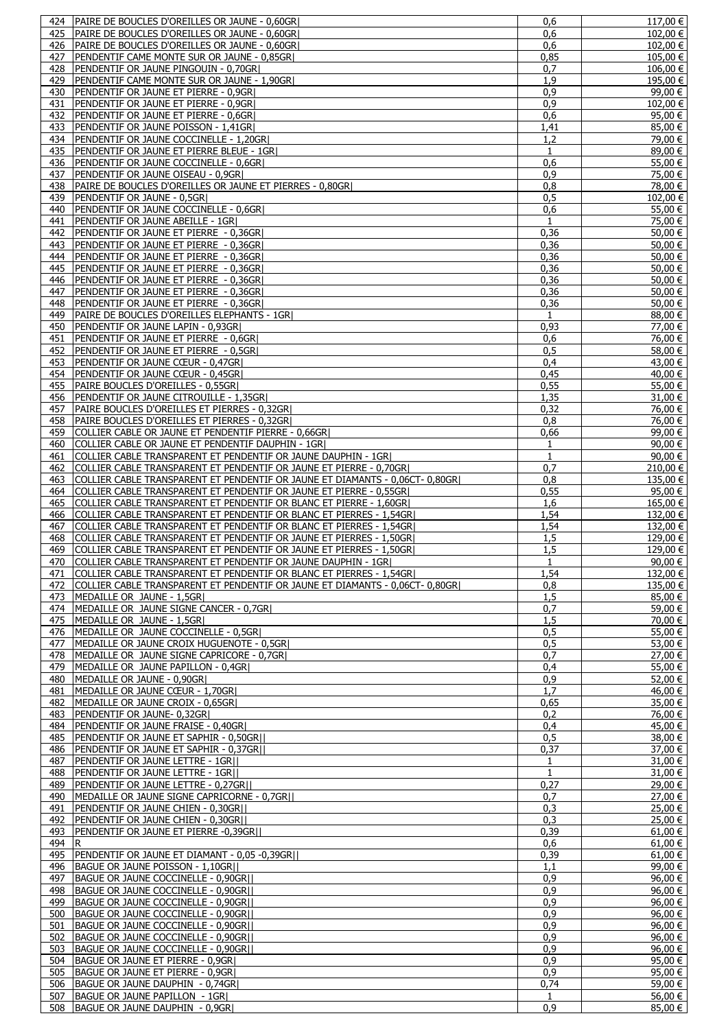|            | <b>PAIRE DE BOUCLES D'OREILLES OR JAUNE - 0,60GR)</b>                        | 0,6                 | $117,00 \in$       |
|------------|------------------------------------------------------------------------------|---------------------|--------------------|
| 425        | PAIRE DE BOUCLES D'OREILLES OR JAUNE - 0.60GRI                               | 0,6                 | 102,00 €           |
| 426        | PAIRE DE BOUCLES D'OREILLES OR JAUNE - 0,60GR                                | 0.6                 | 102,00 €           |
| 427        | PENDENTIF CAME MONTE SUR OR JAUNE - 0,85GR                                   | 0,85                | 105,00 €           |
| 428        | PENDENTIF OR JAUNE PINGOUIN - 0,70GRI                                        | 0,7                 | 106,00 €           |
| 429        | PENDENTIF CAME MONTE SUR OR JAUNE - 1,90GR                                   | 1,9                 | 195,00 €           |
|            |                                                                              |                     |                    |
| 430        | PENDENTIF OR JAUNE ET PIERRE - 0,9GR                                         | 0,9                 | 99,00 €            |
| 431        | PENDENTIF OR JAUNE ET PIERRE - 0,9GR                                         | 0.9                 | 102,00 €           |
| 432        | PENDENTIF OR JAUNE ET PIERRE - 0,6GR                                         | 0,6                 | 95,00 €            |
| 433        | PENDENTIF OR JAUNE POISSON - 1,41GR                                          | 1,41                | $85,00 \in$        |
| 434        | PENDENTIF OR JAUNE COCCINELLE - 1,20GR                                       | 1,2                 | 79,00 €            |
| 435        | <b>IPENDENTIF OR JAUNE ET PIERRE BLEUE - 1GRI</b>                            | $\mathbf{1}$        | $89,00 \in$        |
|            |                                                                              |                     |                    |
| 436        | PENDENTIF OR JAUNE COCCINELLE - 0,6GR                                        | 0.6                 | 55,00 €            |
| 437        | PENDENTIF OR JAUNE OISEAU - 0,9GR                                            | 0.9                 | 75,00 €            |
| 438        | PAIRE DE BOUCLES D'OREILLES OR JAUNE ET PIERRES - 0,80GR                     | 0,8                 | 78,00 €            |
| 439        | PENDENTIF OR JAUNE - 0,5GR                                                   | 0,5                 | $102,00$ €         |
| 440        | PENDENTIF OR JAUNE COCCINELLE - 0,6GR                                        | 0,6                 | 55,00 €            |
| 441        | PENDENTIF OR JAUNE ABEILLE - 1GR                                             | $\mathbf{1}$        | 75,00 €            |
|            |                                                                              |                     |                    |
| 442        | PENDENTIF OR JAUNE ET PIERRE - 0,36GR                                        | 0,36                | 50,00 €            |
| 443        | PENDENTIF OR JAUNE ET PIERRE - 0,36GR                                        | 0,36                | 50,00 €            |
| 444        | PENDENTIF OR JAUNE ET PIERRE - 0,36GR                                        | 0,36                | 50,00 €            |
| 445        | PENDENTIF OR JAUNE ET PIERRE - 0,36GR                                        | 0,36                | 50,00 €            |
| 446        | PENDENTIF OR JAUNE ET PIERRE - 0,36GR                                        | 0,36                | 50,00 €            |
| 447        | PENDENTIF OR JAUNE ET PIERRE - 0,36GR                                        | 0,36                | 50,00 €            |
|            |                                                                              |                     |                    |
| 448        | PENDENTIF OR JAUNE ET PIERRE - 0,36GR                                        | 0,36                | 50,00 €            |
| 449        | PAIRE DE BOUCLES D'OREILLES ELEPHANTS - 1GR                                  | 1                   | 88,00 €            |
| 450        | PENDENTIF OR JAUNE LAPIN - 0,93GR                                            | 0,93                | 77,00 €            |
| 451        | PENDENTIF OR JAUNE ET PIERRE - 0,6GR                                         | 0.6                 | 76,00 €            |
| 452        | PENDENTIF OR JAUNE ET PIERRE - 0,5GR                                         | 0,5                 | 58,00 €            |
|            |                                                                              |                     |                    |
| 453        | PENDENTIF OR JAUNE CŒUR - 0,47GR                                             | 0,4                 | 43.00 €            |
| 454        | PENDENTIF OR JAUNE CŒUR - 0,45GR                                             | 0,45                | $40,00 \in$        |
| 455        | PAIRE BOUCLES D'OREILLES - 0,55GR                                            | 0,55                | 55,00 €            |
| 456        | PENDENTIF OR JAUNE CITROUILLE - 1,35GR                                       | 1,35                | 31,00 €            |
| 457        | PAIRE BOUCLES D'OREILLES ET PIERRES - 0,32GR                                 | 0,32                | 76,00 €            |
|            |                                                                              |                     |                    |
| 458        | PAIRE BOUCLES D'OREILLES ET PIERRES - 0,32GR                                 | 0,8                 | 76,00 €            |
| 459        | COLLIER CABLE OR JAUNE ET PENDENTIF PIERRE - 0,66GR                          | 0,66                | 99,00 €            |
| 460        | COLLIER CABLE OR JAUNE ET PENDENTIF DAUPHIN - 1GR                            | 1                   | 90,00 €            |
| 461        | COLLIER CABLE TRANSPARENT ET PENDENTIF OR JAUNE DAUPHIN - 1GR                | 1                   | 90,00 €            |
| 462        | COLLIER CABLE TRANSPARENT ET PENDENTIF OR JAUNE ET PIERRE - 0,70GR           | 0.7                 | 210,00 €           |
| 463        | COLLIER CABLE TRANSPARENT ET PENDENTIF OR JAUNE ET DIAMANTS - 0,06CT- 0,80GR | 0,8                 | $135,00 \in$       |
|            |                                                                              |                     |                    |
| 464        | COLLIER CABLE TRANSPARENT ET PENDENTIF OR JAUNE ET PIERRE - 0,55GR           | 0,55                | 95,00 €            |
| 465        | COLLIER CABLE TRANSPARENT ET PENDENTIF OR BLANC ET PIERRE - 1,60GR           | 1,6                 | 165,00 €           |
| 466        | COLLIER CABLE TRANSPARENT ET PENDENTIF OR BLANC ET PIERRES - 1,54GR          | 1,54                | 132,00 €           |
| 467        | COLLIER CABLE TRANSPARENT ET PENDENTIF OR BLANC ET PIERRES - 1,54GR          | 1,54                | 132,00 €           |
| 468        | COLLIER CABLE TRANSPARENT ET PENDENTIF OR JAUNE ET PIERRES - 1,50GR          | 1,5                 | 129,00 €           |
|            | COLLIER CABLE TRANSPARENT ET PENDENTIF OR JAUNE ET PIERRES - 1,50GR          | 1,5                 | 129,00 €           |
| 469        |                                                                              |                     |                    |
| 470        | <b>ICOLLIER CABLE TRANSPARENT ET PENDENTIF OR JAUNE DAUPHIN - 1GRI</b>       | $\mathbf{1}$        | 90.00 $\in$        |
|            |                                                                              |                     |                    |
| 471        | COLLIER CABLE TRANSPARENT ET PENDENTIF OR BLANC ET PIERRES - 1,54GR          | 1,54                | $132,00$ €         |
| 472        | COLLIER CABLE TRANSPARENT ET PENDENTIF OR JAUNE ET DIAMANTS - 0,06CT- 0,80GR | 0,8                 | 135,00 €           |
|            |                                                                              |                     |                    |
| 473        | MEDAILLE OR JAUNE - 1,5GR                                                    | 1,5                 | $85,00 \in  $      |
| 474        | MEDAILLE OR JAUNE SIGNE CANCER - 0.7GRI                                      | 0,7                 | 59,00 €            |
| 475        | MEDAILLE OR JAUNE - 1,5GR                                                    | 1,5                 | 70,00 €            |
| 476        | MEDAILLE OR JAUNE COCCINELLE - 0,5GR                                         | 0,5                 | 55,00 €            |
| 477        | MEDAILLE OR JAUNE CROIX HUGUENOTE - 0,5GR                                    | 0,5                 | 53,00 €            |
| 478        |                                                                              | 0,7                 | 27,00 €            |
|            | MEDAILLE OR JAUNE SIGNE CAPRICORE - 0,7GR                                    |                     |                    |
| 479        | MEDAILLE OR JAUNE PAPILLON - 0,4GR                                           | 0,4                 | 55.00 €            |
| 480        | MEDAILLE OR JAUNE - 0,90GRI                                                  | 0,9                 | 52,00 €            |
| 481        | MEDAILLE OR JAUNE CŒUR - 1,70GR                                              | 1,7                 | 46,00 €            |
| 482        | MEDAILLE OR JAUNE CROIX - 0,65GR                                             | 0,65                | 35,00 €            |
| 483        | PENDENTIF OR JAUNE- 0,32GR                                                   | 0,2                 | 76,00 €            |
|            |                                                                              |                     |                    |
| 484        | PENDENTIF OR JAUNE FRAISE - 0,40GR                                           | 0,4                 | 45,00 €            |
| 485        | <b>PENDENTIF OR JAUNE ET SAPHIR - 0,50GR  </b>                               | 0,5                 | 38,00 €            |
| 486        | PENDENTIF OR JAUNE ET SAPHIR - 0,37GR                                        | 0,37                | 37,00 €            |
| 487        | <b>PENDENTIF OR JAUNE LETTRE - 1GRII</b>                                     | $\mathbf{1}$        | 31,00 €            |
| 488        | <b>PENDENTIF OR JAUNE LETTRE - 1GRII</b>                                     | 1                   | $31,00 \in$        |
| 489        | PENDENTIF OR JAUNE LETTRE - 0,27GR                                           | 0,27                | 29,00 €            |
| 490        |                                                                              |                     |                    |
|            | MEDAILLE OR JAUNE SIGNE CAPRICORNE - 0,7GR                                   | 0,7                 | 27,00 €            |
| 491        | PENDENTIF OR JAUNE CHIEN - 0,30GR                                            | 0,3                 | 25,00 €            |
| 492        | <b>PENDENTIF OR JAUNE CHIEN - 0,30GRII</b>                                   | 0,3                 | 25,00 €            |
| 493        | PENDENTIF OR JAUNE ET PIERRE -0,39GRII                                       | 0,39                | $61,00 \in$        |
| 494        | IR.                                                                          | 0,6                 | 61,00 €            |
| 495        | PENDENTIF OR JAUNE ET DIAMANT - 0,05 -0,39GR                                 | 0,39                | $61,00 \in$        |
|            |                                                                              |                     |                    |
| 496        | BAGUE OR JAUNE POISSON - 1,10GR                                              | 1,1                 | 99,00 €            |
| 497        | BAGUE OR JAUNE COCCINELLE - 0,90GRII                                         | 0,9                 | $96,00 \in  $      |
| 498        | BAGUE OR JAUNE COCCINELLE - 0,90GR                                           | 0,9                 | 96,00 €            |
| 499        | BAGUE OR JAUNE COCCINELLE - 0,90GR                                           | 0,9                 | $96,00 \in  $      |
| 500        | BAGUE OR JAUNE COCCINELLE - 0,90GR                                           | 0,9                 | 96,00 €            |
| 501        |                                                                              | 0,9                 |                    |
|            | BAGUE OR JAUNE COCCINELLE - 0,90GR                                           |                     | 96,00 €            |
| 502        | BAGUE OR JAUNE COCCINELLE - 0,90GRII                                         | 0.9                 | 96,00 €            |
| 503        | BAGUE OR JAUNE COCCINELLE - 0,90GR                                           | 0,9                 | $96,00 \in  $      |
| 504        | BAGUE OR JAUNE ET PIERRE - 0,9GR                                             | 0,9                 | 95,00 €            |
| 505        | BAGUE OR JAUNE ET PIERRE - 0,9GR                                             | 0,9                 | $95,00 \in  $      |
| 506        |                                                                              | 0,74                |                    |
|            | BAGUE OR JAUNE DAUPHIN - 0,74GR                                              |                     | 59,00 €            |
| 507<br>508 | BAGUE OR JAUNE PAPILLON - 1GRI<br>BAGUE OR JAUNE DAUPHIN - 0,9GR             | $\mathbf{1}$<br>0,9 | 56,00 €<br>85,00 € |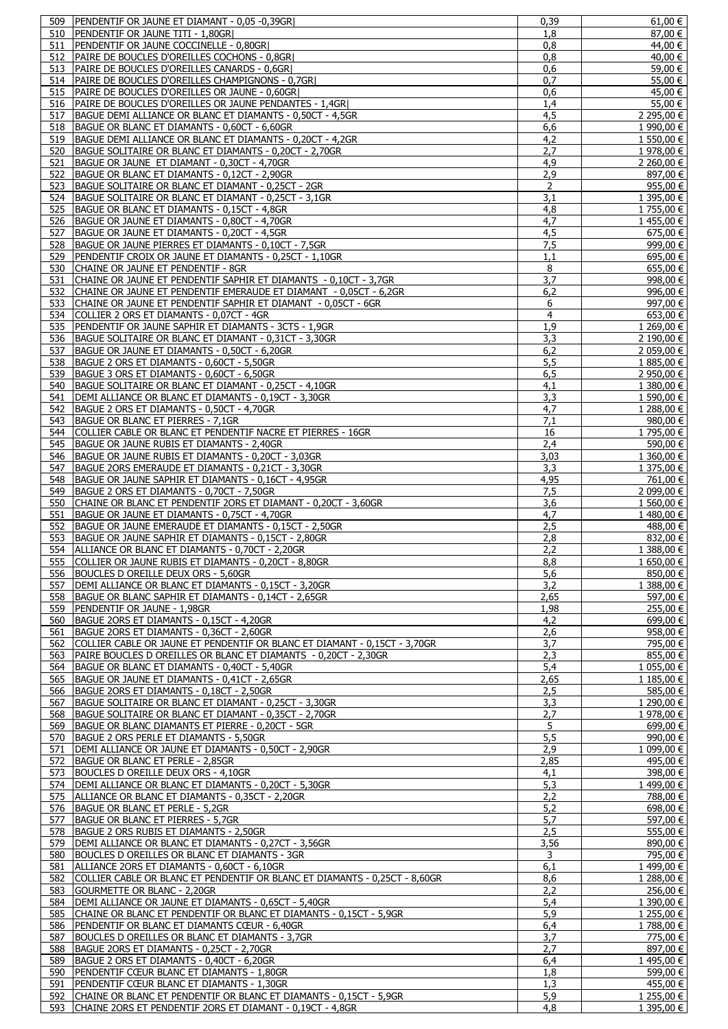|            | PENDENTIF OR JAUNE ET DIAMANT - 0,05 -0,39GR                                                                                    | 0,39           | 61,00 €                  |
|------------|---------------------------------------------------------------------------------------------------------------------------------|----------------|--------------------------|
| 510        | <b>PENDENTIF OR JAUNE TITI - 1,80GRI</b>                                                                                        | 1,8            | 87,00 €                  |
| 511        | PENDENTIF OR JAUNE COCCINELLE - 0,80GR                                                                                          | 0,8            | 44,00 €                  |
| 512        | PAIRE DE BOUCLES D'OREILLES COCHONS - 0.8GRI                                                                                    | 0,8            | 40,00 €                  |
| 513        | PAIRE DE BOUCLES D'OREILLES CANARDS - 0,6GR                                                                                     | 0,6            | 59,00 €                  |
| 514        | PAIRE DE BOUCLES D'OREILLES CHAMPIGNONS - 0,7GR                                                                                 | 0,7            | 55,00 €                  |
| 515        | PAIRE DE BOUCLES D'OREILLES OR JAUNE - 0,60GR                                                                                   | 0,6            | 45,00 €                  |
| 516        | PAIRE DE BOUCLES D'OREILLES OR JAUNE PENDANTES - 1,4GR                                                                          | 1,4            | 55,00 €                  |
| 517        | BAGUE DEMI ALLIANCE OR BLANC ET DIAMANTS - 0,50CT - 4,5GR                                                                       | 4,5            | 2 295,00 €               |
| 518        | BAGUE OR BLANC ET DIAMANTS - 0,60CT - 6,60GR                                                                                    | 6,6            | 1 990,00 €               |
| 519        | BAGUE DEMI ALLIANCE OR BLANC ET DIAMANTS - 0,20CT - 4,2GR                                                                       | 4,2            | $1\,550,00 \in$          |
| 520        | BAGUE SOLITAIRE OR BLANC ET DIAMANTS - 0,20CT - 2,70GR                                                                          | 2,7            | 1 978,00 €               |
| 521        | BAGUE OR JAUNE ET DIAMANT - 0,30CT - 4,70GR                                                                                     | 4,9            | 2 260,00 €               |
| 522        | BAGUE OR BLANC ET DIAMANTS - 0,12CT - 2,90GR                                                                                    | 2,9            | 897,00 €                 |
| 523        | BAGUE SOLITAIRE OR BLANC ET DIAMANT - 0.25CT - 2GR                                                                              | 2              | 955,00 €                 |
| 524        | BAGUE SOLITAIRE OR BLANC ET DIAMANT - 0,25CT - 3,1GR                                                                            | 3,1            | 1 395,00 €               |
| 525        | BAGUE OR BLANC ET DIAMANTS - 0,15CT - 4,8GR                                                                                     | 4,8            | 1755,00 €                |
| 526        | BAGUE OR JAUNE ET DIAMANTS - 0,80CT - 4,70GR                                                                                    | 4,7            | 1455,00€                 |
| 527        | BAGUE OR JAUNE ET DIAMANTS - 0,20CT - 4,5GR                                                                                     | 4,5            | 675,00 €                 |
| 528        | BAGUE OR JAUNE PIERRES ET DIAMANTS - 0,10CT - 7,5GR                                                                             | 7,5            | 999,00 €                 |
| 529        | PENDENTIF CROIX OR JAUNE ET DIAMANTS - 0,25CT - 1,10GR                                                                          | 1,1            | 695,00 €                 |
| 530        | CHAINE OR JAUNE ET PENDENTIF - 8GR                                                                                              | 8              | $\frac{1}{6}$ 55,00 €    |
| 531        | CHAINE OR JAUNE ET PENDENTIF SAPHIR ET DIAMANTS - 0.10CT - 3.7GR                                                                | 3.7            | 998,00€                  |
| 532        | CHAINE OR JAUNE ET PENDENTIF EMERAUDE ET DIAMANT - 0,05CT - 6,2GR                                                               | 6,2            | 996,00 €                 |
| 533        | CHAINE OR JAUNE ET PENDENTIF SAPHIR ET DIAMANT - 0,05CT - 6GR                                                                   | 6              | 997.00 €                 |
| 534        | COLLIER 2 ORS ET DIAMANTS - 0,07CT - 4GR                                                                                        | $\overline{4}$ | 653,00 €                 |
| 535        | PENDENTIF OR JAUNE SAPHIR ET DIAMANTS - 3CTS - 1,9GR                                                                            | 1,9            | 1 269,00 €               |
| 536        | BAGUE SOLITAIRE OR BLANC ET DIAMANT - 0,31CT - 3,30GR                                                                           | 3,3            | 2 190,00 €               |
| 537        | BAGUE OR JAUNE ET DIAMANTS - 0,50CT - 6,20GR                                                                                    | 6,2            | 2 059,00 €               |
| 538        | BAGUE 2 ORS ET DIAMANTS - 0,60CT - 5,50GR                                                                                       | 5,5            | 1 885,00 €               |
| 539        | BAGUE 3 ORS ET DIAMANTS - 0,60CT - 6,50GR                                                                                       | 6, 5           | 2 950,00 €               |
| 540        | BAGUE SOLITAIRE OR BLANC ET DIAMANT - 0,25CT - 4,10GR                                                                           | 4,1            | 1 380,00 €               |
| 541        | DEMI ALLIANCE OR BLANC ET DIAMANTS - 0,19CT - 3,30GR                                                                            | 3,3            | 1 590,00 €               |
| 542        | BAGUE 2 ORS ET DIAMANTS - 0,50CT - 4,70GR                                                                                       | 4,7            | 1 288,00 €               |
| 543        | BAGUE OR BLANC ET PIERRES - 7,1GR                                                                                               | 7,1            | 980,00 €                 |
| 544        | COLLIER CABLE OR BLANC ET PENDENTIF NACRE ET PIERRES - 16GR                                                                     | 16             | 1 795,00 €               |
| 545        | BAGUE OR JAUNE RUBIS ET DIAMANTS - 2,40GR                                                                                       | 2,4            | 590,00 €                 |
| 546        | BAGUE OR JAUNE RUBIS ET DIAMANTS - 0,20CT - 3,03GR                                                                              | 3,03           | 1 360,00 €               |
| 547        | BAGUE 2ORS EMERAUDE ET DIAMANTS - 0,21CT - 3,30GR                                                                               | 3,3            | 1 375,00 €               |
| 548        | BAGUE OR JAUNE SAPHIR ET DIAMANTS - 0,16CT - 4,95GR                                                                             | 4,95           | 761,00 €                 |
| 549        | BAGUE 2 ORS ET DIAMANTS - 0,70CT - 7,50GR                                                                                       | 7,5            | 2 099,00 €               |
| 550        | CHAINE OR BLANC ET PENDENTIF 2ORS ET DIAMANT - 0,20CT - 3,60GR                                                                  | 3,6            | $1560,00 \in$            |
| 551        | BAGUE OR JAUNE ET DIAMANTS - 0,75CT - 4,70GR                                                                                    | 4,7            | 1 480,00 €               |
| 552        | BAGUE OR JAUNE EMERAUDE ET DIAMANTS - 0,15CT - 2,50GR                                                                           | 2,5            | 488,00 €                 |
| 553        | BAGUE OR JAUNE SAPHIR ET DIAMANTS - 0,15CT - 2,80GR                                                                             | 2,8            | 832,00 €                 |
|            |                                                                                                                                 |                |                          |
| 554        | ALLIANCE OR BLANC ET DIAMANTS - 0,70CT - 2,20GR                                                                                 | 2.2            | 1 388,00 €               |
|            | 555 COLLIER OR JAUNE RUBIS ET DIAMANTS - 0.20CT - 8.80GR                                                                        | 8.8            | $1,650,00$ €             |
| 556        | BOUCLES D OREILLE DEUX ORS - 5,60GR                                                                                             | 5,6            | 850,00€                  |
| 557        | DEMI ALLIANCE OR BLANC ET DIAMANTS - 0,15CT - 3,20GR                                                                            | 3,2            | 1 388,00 €               |
| 558        | BAGUE OR BLANC SAPHIR ET DIAMANTS - 0,14CT - 2,65GR                                                                             | 2,65           | 597,00 €                 |
| 559        | PENDENTIF OR JAUNE - 1,98GR                                                                                                     | 1,98           | 255,00 €                 |
| 560        | BAGUE 2ORS ET DIAMANTS - 0,15CT - 4,20GR                                                                                        | 4,2            | 699,00 €                 |
| 561        | BAGUE 2ORS ET DIAMANTS - 0,36CT - 2,60GR                                                                                        | 2,6            | 958,00€                  |
| 562        | COLLIER CABLE OR JAUNE ET PENDENTIF OR BLANC ET DIAMANT - 0,15CT - 3,70GR                                                       | 3,7            | 795,00 €                 |
| 563        | PAIRE BOUCLES D OREILLES OR BLANC ET DIAMANTS - 0,20CT - 2,30GR                                                                 | 2,3            | 855,00 €                 |
| 564        | BAGUE OR BLANC ET DIAMANTS - 0,40CT - 5,40GR                                                                                    | 5,4            | 1 055,00 €               |
| 565        | BAGUE OR JAUNE ET DIAMANTS - 0,41CT - 2,65GR                                                                                    | 2,65           | 1 185,00 €               |
| 566        | BAGUE 2ORS ET DIAMANTS - 0,18CT - 2,50GR                                                                                        | 2,5            | 585,00 €                 |
| 567        | BAGUE SOLITAIRE OR BLANC ET DIAMANT - 0,25CT - 3,30GR                                                                           | 3,3            | 1 290,00 €               |
| 568        | BAGUE SOLITAIRE OR BLANC ET DIAMANT - 0,35CT - 2,70GR                                                                           | 2,7            | 1 978,00 €               |
| 569        | BAGUE OR BLANC DIAMANTS ET PIERRE - 0,20CT - 5GR                                                                                | 5              | 699,00 €                 |
| 570        | BAGUE 2 ORS PERLE ET DIAMANTS - 5,50GR                                                                                          | 5,5            | 990,00 €                 |
| 571        | DEMI ALLIANCE OR JAUNE ET DIAMANTS - 0,50CT - 2,90GR                                                                            | 2,9            | 1 099,00 €               |
| 572        | BAGUE OR BLANC ET PERLE - 2,85GR                                                                                                | 2,85           | 495,00 €                 |
| 573        | BOUCLES D OREILLE DEUX ORS - 4,10GR                                                                                             | 4,1            | 398,00 €                 |
| 574        | DEMI ALLIANCE OR BLANC ET DIAMANTS - 0,20CT - 5,30GR                                                                            | 5,3            | 1 499,00 €               |
| 575        | ALLIANCE OR BLANC ET DIAMANTS - 0,35CT - 2,20GR                                                                                 | 2,2            | 788,00 €                 |
| 576        | BAGUE OR BLANC ET PERLE - 5,2GR                                                                                                 | 5,2            | 698,00 €                 |
| 577        | BAGUE OR BLANC ET PIERRES - 5,7GR                                                                                               | 5,7            | 597,00 €                 |
| 578        | BAGUE 2 ORS RUBIS ET DIAMANTS - 2,50GR                                                                                          | 2,5            | 555,00 €                 |
| 579        | DEMI ALLIANCE OR BLANC ET DIAMANTS - 0,27CT - 3,56GR                                                                            | 3,56           | 890,00 €                 |
| 580        | BOUCLES D OREILLES OR BLANC ET DIAMANTS - 3GR                                                                                   | 3              | 795,00 €                 |
| 581        | ALLIANCE 2ORS ET DIAMANTS - 0,60CT - 6,10GR                                                                                     | 6,1            | 1499,00€                 |
| 582        | COLLIER CABLE OR BLANC ET PENDENTIF OR BLANC ET DIAMANTS - 0,25CT - 8,60GR                                                      | 8,6            | 1 288,00 €               |
| 583        | GOURMETTE OR BLANC - 2,20GR                                                                                                     | 2,2            | 256,00 €                 |
| 584        | DEMI ALLIANCE OR JAUNE ET DIAMANTS - 0,65CT - 5,40GR                                                                            | 5,4            | 1 390,00 €               |
| 585        | CHAINE OR BLANC ET PENDENTIF OR BLANC ET DIAMANTS - 0,15CT - 5,9GR                                                              | 5,9            | 1 255,00 €               |
| 586        | PENDENTIF OR BLANC ET DIAMANTS CŒUR - 6,40GR                                                                                    | 6,4            | 1788,00€                 |
| 587        | BOUCLES D OREILLES OR BLANC ET DIAMANTS - 3,7GR                                                                                 | 3,7            | 775,00 €                 |
| 588        | BAGUE 2ORS ET DIAMANTS - 0,25CT - 2,70GR                                                                                        | 2,7            | 897,00 €                 |
| 589        | BAGUE 2 ORS ET DIAMANTS - 0,40CT - 6,20GR                                                                                       | 6,4            | 1495,00€                 |
| 590        | PENDENTIF CŒUR BLANC ET DIAMANTS - 1,80GR                                                                                       | 1,8            | 599,00 €                 |
| 591        | PENDENTIF CŒUR BLANC ET DIAMANTS - 1,30GR                                                                                       | 1,3            | 455,00 €                 |
| 592<br>593 | CHAINE OR BLANC ET PENDENTIF OR BLANC ET DIAMANTS - 0,15CT - 5,9GR<br>CHAINE 2ORS ET PENDENTIF 2ORS ET DIAMANT - 0,19CT - 4,8GR | 5,9<br>4,8     | 1 255.00 €<br>1 395,00 € |